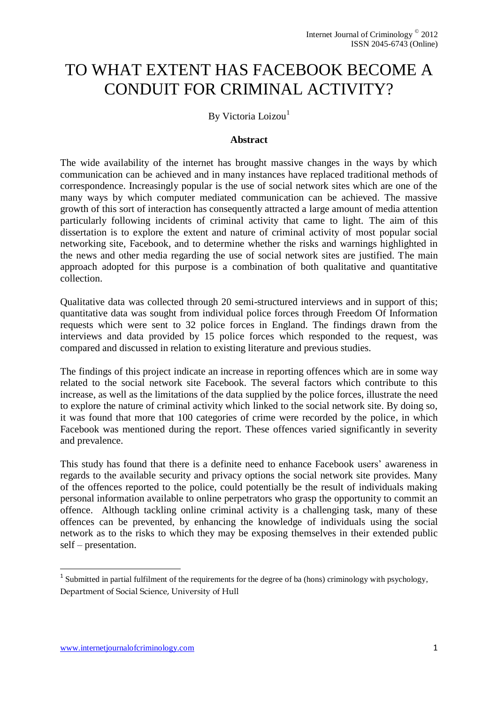# TO WHAT EXTENT HAS FACEBOOK BECOME A CONDUIT FOR CRIMINAL ACTIVITY?

### By Victoria Loizou<sup>1</sup>

#### **Abstract**

<span id="page-0-0"></span>The wide availability of the internet has brought massive changes in the ways by which communication can be achieved and in many instances have replaced traditional methods of correspondence. Increasingly popular is the use of social network sites which are one of the many ways by which computer mediated communication can be achieved. The massive growth of this sort of interaction has consequently attracted a large amount of media attention particularly following incidents of criminal activity that came to light. The aim of this dissertation is to explore the extent and nature of criminal activity of most popular social networking site, Facebook, and to determine whether the risks and warnings highlighted in the news and other media regarding the use of social network sites are justified. The main approach adopted for this purpose is a combination of both qualitative and quantitative collection.

Qualitative data was collected through 20 semi-structured interviews and in support of this; quantitative data was sought from individual police forces through Freedom Of Information requests which were sent to 32 police forces in England. The findings drawn from the interviews and data provided by 15 police forces which responded to the request, was compared and discussed in relation to existing literature and previous studies.

The findings of this project indicate an increase in reporting offences which are in some way related to the social network site Facebook. The several factors which contribute to this increase, as well as the limitations of the data supplied by the police forces, illustrate the need to explore the nature of criminal activity which linked to the social network site. By doing so, it was found that more that 100 categories of crime were recorded by the police, in which Facebook was mentioned during the report. These offences varied significantly in severity and prevalence.

This study has found that there is a definite need to enhance Facebook users' awareness in regards to the available security and privacy options the social network site provides. Many of the offences reported to the police, could potentially be the result of individuals making personal information available to online perpetrators who grasp the opportunity to commit an offence. Although tackling online criminal activity is a challenging task, many of these offences can be prevented, by enhancing the knowledge of individuals using the social network as to the risks to which they may be exposing themselves in their extended public self – presentation.

1

<sup>&</sup>lt;sup>1</sup> Submitted in partial fulfilment of the requirements for the degree of ba (hons) criminology with psychology, Department of Social Science, University of Hull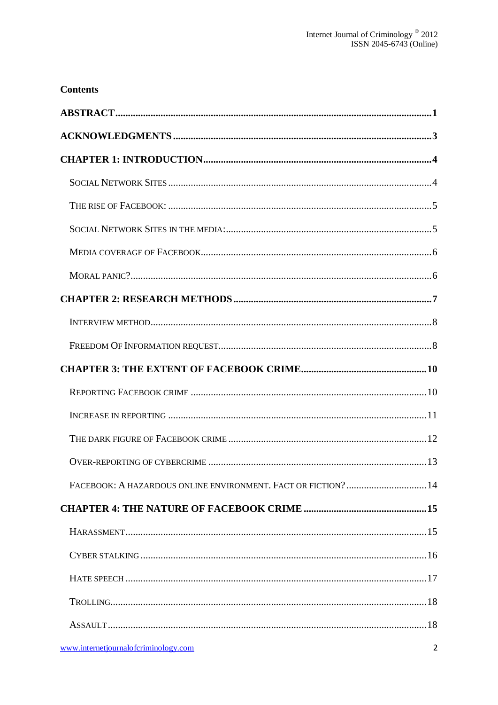# **Contents**

| FACEBOOK: A HAZARDOUS ONLINE ENVIRONMENT. FACT OR FICTION? 14 |
|---------------------------------------------------------------|
|                                                               |
|                                                               |
|                                                               |
|                                                               |
|                                                               |
|                                                               |
| www.internetjournalofcriminology.com<br>2                     |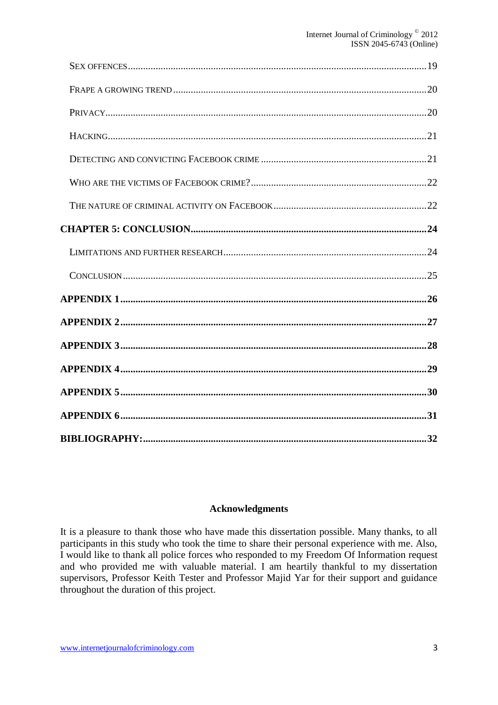#### **Acknowledgments**

<span id="page-2-0"></span>It is a pleasure to thank those who have made this dissertation possible. Many thanks, to all participants in this study who took the time to share their personal experience with me. Also, I would like to thank all police forces who responded to my Freedom Of Information request and who provided me with valuable material. I am heartily thankful to my dissertation supervisors, Professor Keith Tester and Professor Majid Yar for their support and guidance throughout the duration of this project.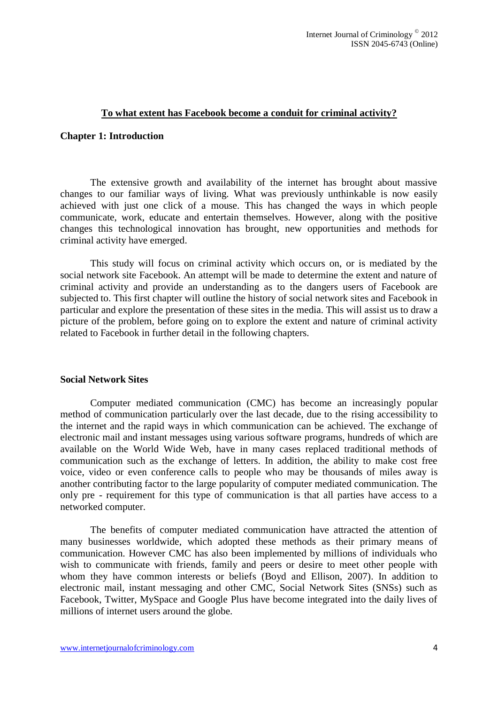#### **To what extent has Facebook become a conduit for criminal activity?**

#### <span id="page-3-0"></span>**Chapter 1: Introduction**

The extensive growth and availability of the internet has brought about massive changes to our familiar ways of living. What was previously unthinkable is now easily achieved with just one click of a mouse. This has changed the ways in which people communicate, work, educate and entertain themselves. However, along with the positive changes this technological innovation has brought, new opportunities and methods for criminal activity have emerged.

This study will focus on criminal activity which occurs on, or is mediated by the social network site Facebook. An attempt will be made to determine the extent and nature of criminal activity and provide an understanding as to the dangers users of Facebook are subjected to. This first chapter will outline the history of social network sites and Facebook in particular and explore the presentation of these sites in the media. This will assist us to draw a picture of the problem, before going on to explore the extent and nature of criminal activity related to Facebook in further detail in the following chapters.

#### <span id="page-3-1"></span>**Social Network Sites**

Computer mediated communication (CMC) has become an increasingly popular method of communication particularly over the last decade, due to the rising accessibility to the internet and the rapid ways in which communication can be achieved. The exchange of electronic mail and instant messages using various software programs, hundreds of which are available on the World Wide Web, have in many cases replaced traditional methods of communication such as the exchange of letters. In addition, the ability to make cost free voice, video or even conference calls to people who may be thousands of miles away is another contributing factor to the large popularity of computer mediated communication. The only pre - requirement for this type of communication is that all parties have access to a networked computer.

The benefits of computer mediated communication have attracted the attention of many businesses worldwide, which adopted these methods as their primary means of communication. However CMC has also been implemented by millions of individuals who wish to communicate with friends, family and peers or desire to meet other people with whom they have common interests or beliefs (Boyd and Ellison, 2007). In addition to electronic mail, instant messaging and other CMC, Social Network Sites (SNSs) such as Facebook, Twitter, MySpace and Google Plus have become integrated into the daily lives of millions of internet users around the globe.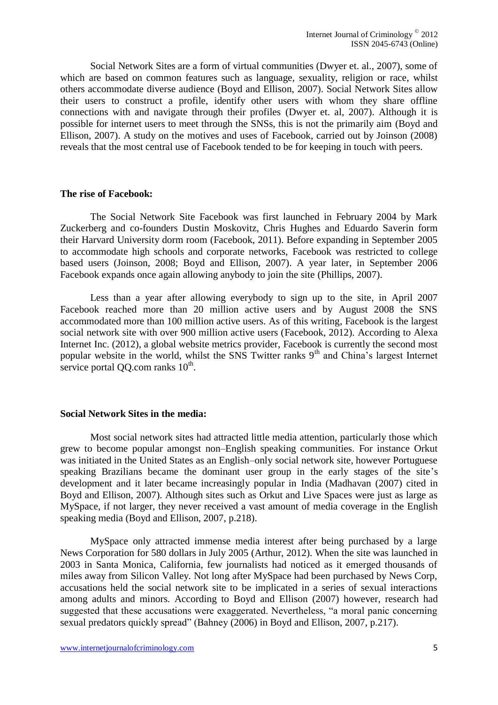Social Network Sites are a form of virtual communities (Dwyer et. al., 2007), some of which are based on common features such as language, sexuality, religion or race, whilst others accommodate diverse audience (Boyd and Ellison, 2007). Social Network Sites allow their users to construct a profile, identify other users with whom they share offline connections with and navigate through their profiles (Dwyer et. al, 2007). Although it is possible for internet users to meet through the SNSs, this is not the primarily aim (Boyd and Ellison, 2007). A study on the motives and uses of Facebook, carried out by Joinson (2008) reveals that the most central use of Facebook tended to be for keeping in touch with peers.

#### <span id="page-4-0"></span>**The rise of Facebook:**

The Social Network Site Facebook was first launched in February 2004 by Mark Zuckerberg and co-founders Dustin Moskovitz, Chris Hughes and Eduardo Saverin form their Harvard University dorm room (Facebook, 2011). Before expanding in September 2005 to accommodate high schools and corporate networks, Facebook was restricted to college based users (Joinson, 2008; Boyd and Ellison, 2007). A year later, in September 2006 Facebook expands once again allowing anybody to join the site (Phillips, 2007).

Less than a year after allowing everybody to sign up to the site, in April 2007 Facebook reached more than 20 million active users and by August 2008 the SNS accommodated more than 100 million active users. As of this writing, Facebook is the largest social network site with over 900 million active users (Facebook, 2012). According to Alexa Internet Inc. (2012), a global website metrics provider, Facebook is currently the second most popular website in the world, whilst the SNS Twitter ranks  $9<sup>th</sup>$  and China's largest Internet service portal QQ.com ranks  $10<sup>th</sup>$ .

#### <span id="page-4-1"></span>**Social Network Sites in the media:**

Most social network sites had attracted little media attention, particularly those which grew to become popular amongst non–English speaking communities. For instance Orkut was initiated in the United States as an English–only social network site, however Portuguese speaking Brazilians became the dominant user group in the early stages of the site's development and it later became increasingly popular in India (Madhavan (2007) cited in Boyd and Ellison, 2007). Although sites such as Orkut and Live Spaces were just as large as MySpace, if not larger, they never received a vast amount of media coverage in the English speaking media (Boyd and Ellison, 2007, p.218).

MySpace only attracted immense media interest after being purchased by a large News Corporation for 580 dollars in July 2005 (Arthur, 2012). When the site was launched in 2003 in Santa Monica, California, few journalists had noticed as it emerged thousands of miles away from Silicon Valley. Not long after MySpace had been purchased by News Corp, accusations held the social network site to be implicated in a series of sexual interactions among adults and minors. According to Boyd and Ellison (2007) however, research had suggested that these accusations were exaggerated. Nevertheless, "a moral panic concerning sexual predators quickly spread" (Bahney (2006) in Boyd and Ellison, 2007, p.217).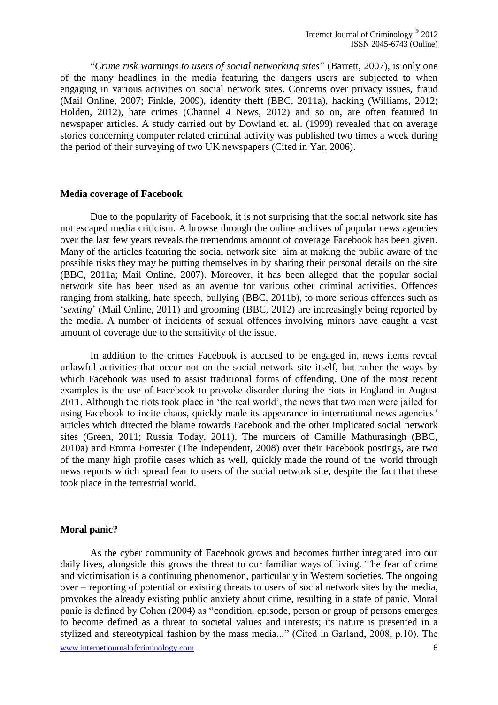"*Crime risk warnings to users of social networking sites*" (Barrett, 2007), is only one of the many headlines in the media featuring the dangers users are subjected to when engaging in various activities on social network sites. Concerns over privacy issues, fraud (Mail Online, 2007; Finkle, 2009), identity theft (BBC, 2011a), hacking (Williams, 2012; Holden, 2012), hate crimes (Channel 4 News, 2012) and so on, are often featured in newspaper articles. A study carried out by Dowland et. al. (1999) revealed that on average stories concerning computer related criminal activity was published two times a week during the period of their surveying of two UK newspapers (Cited in Yar, 2006).

#### <span id="page-5-0"></span>**Media coverage of Facebook**

Due to the popularity of Facebook, it is not surprising that the social network site has not escaped media criticism. A browse through the online archives of popular news agencies over the last few years reveals the tremendous amount of coverage Facebook has been given. Many of the articles featuring the social network site aim at making the public aware of the possible risks they may be putting themselves in by sharing their personal details on the site (BBC, 2011a; Mail Online, 2007). Moreover, it has been alleged that the popular social network site has been used as an avenue for various other criminal activities. Offences ranging from stalking, hate speech, bullying (BBC, 2011b), to more serious offences such as '*sexting*' (Mail Online, 2011) and grooming (BBC, 2012) are increasingly being reported by the media. A number of incidents of sexual offences involving minors have caught a vast amount of coverage due to the sensitivity of the issue.

In addition to the crimes Facebook is accused to be engaged in, news items reveal unlawful activities that occur not on the social network site itself, but rather the ways by which Facebook was used to assist traditional forms of offending. One of the most recent examples is the use of Facebook to provoke disorder during the riots in England in August 2011. Although the riots took place in 'the real world', the news that two men were jailed for using Facebook to incite chaos, quickly made its appearance in international news agencies' articles which directed the blame towards Facebook and the other implicated social network sites (Green, 2011; Russia Today, 2011). The murders of Camille Mathurasingh (BBC, 2010a) and Emma Forrester (The Independent, 2008) over their Facebook postings, are two of the many high profile cases which as well, quickly made the round of the world through news reports which spread fear to users of the social network site, despite the fact that these took place in the terrestrial world.

#### <span id="page-5-1"></span>**Moral panic?**

www.internetjournalofcriminology.com 6 As the cyber community of Facebook grows and becomes further integrated into our daily lives, alongside this grows the threat to our familiar ways of living. The fear of crime and victimisation is a continuing phenomenon, particularly in Western societies. The ongoing over – reporting of potential or existing threats to users of social network sites by the media, provokes the already existing public anxiety about crime, resulting in a state of panic. Moral panic is defined by Cohen (2004) as "condition, episode, person or group of persons emerges to become defined as a threat to societal values and interests; its nature is presented in a stylized and stereotypical fashion by the mass media..." (Cited in Garland, 2008, p.10). The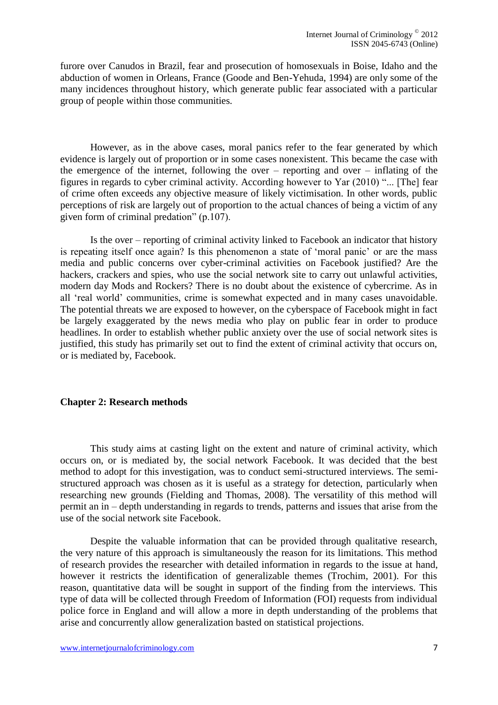furore over Canudos in Brazil, fear and prosecution of homosexuals in Boise, Idaho and the abduction of women in Orleans, France (Goode and Ben-Yehuda, 1994) are only some of the many incidences throughout history, which generate public fear associated with a particular group of people within those communities.

However, as in the above cases, moral panics refer to the fear generated by which evidence is largely out of proportion or in some cases nonexistent. This became the case with the emergence of the internet, following the over – reporting and over – inflating of the figures in regards to cyber criminal activity. According however to Yar (2010) "... [The] fear of crime often exceeds any objective measure of likely victimisation. In other words, public perceptions of risk are largely out of proportion to the actual chances of being a victim of any given form of criminal predation" (p.107).

Is the over – reporting of criminal activity linked to Facebook an indicator that history is repeating itself once again? Is this phenomenon a state of 'moral panic' or are the mass media and public concerns over cyber-criminal activities on Facebook justified? Are the hackers, crackers and spies, who use the social network site to carry out unlawful activities, modern day Mods and Rockers? There is no doubt about the existence of cybercrime. As in all 'real world' communities, crime is somewhat expected and in many cases unavoidable. The potential threats we are exposed to however, on the cyberspace of Facebook might in fact be largely exaggerated by the news media who play on public fear in order to produce headlines. In order to establish whether public anxiety over the use of social network sites is justified, this study has primarily set out to find the extent of criminal activity that occurs on, or is mediated by, Facebook.

#### <span id="page-6-0"></span>**Chapter 2: Research methods**

This study aims at casting light on the extent and nature of criminal activity, which occurs on, or is mediated by, the social network Facebook. It was decided that the best method to adopt for this investigation, was to conduct semi-structured interviews. The semistructured approach was chosen as it is useful as a strategy for detection, particularly when researching new grounds (Fielding and Thomas, 2008). The versatility of this method will permit an in – depth understanding in regards to trends, patterns and issues that arise from the use of the social network site Facebook.

Despite the valuable information that can be provided through qualitative research, the very nature of this approach is simultaneously the reason for its limitations. This method of research provides the researcher with detailed information in regards to the issue at hand, however it restricts the identification of generalizable themes (Trochim, 2001). For this reason, quantitative data will be sought in support of the finding from the interviews. This type of data will be collected through Freedom of Information (FOI) requests from individual police force in England and will allow a more in depth understanding of the problems that arise and concurrently allow generalization basted on statistical projections.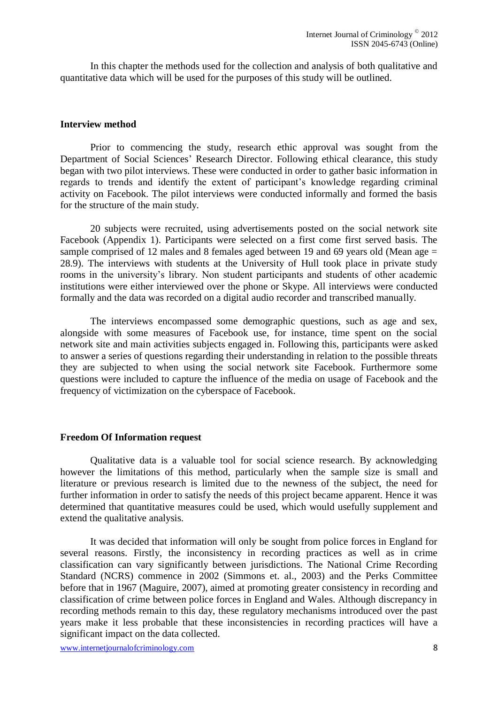In this chapter the methods used for the collection and analysis of both qualitative and quantitative data which will be used for the purposes of this study will be outlined.

#### <span id="page-7-0"></span>**Interview method**

Prior to commencing the study, research ethic approval was sought from the Department of Social Sciences' Research Director. Following ethical clearance, this study began with two pilot interviews. These were conducted in order to gather basic information in regards to trends and identify the extent of participant's knowledge regarding criminal activity on Facebook. The pilot interviews were conducted informally and formed the basis for the structure of the main study.

20 subjects were recruited, using advertisements posted on the social network site Facebook (Appendix 1). Participants were selected on a first come first served basis. The sample comprised of 12 males and 8 females aged between 19 and 69 years old (Mean age = 28.9). The interviews with students at the University of Hull took place in private study rooms in the university's library. Non student participants and students of other academic institutions were either interviewed over the phone or Skype. All interviews were conducted formally and the data was recorded on a digital audio recorder and transcribed manually.

The interviews encompassed some demographic questions, such as age and sex, alongside with some measures of Facebook use, for instance, time spent on the social network site and main activities subjects engaged in. Following this, participants were asked to answer a series of questions regarding their understanding in relation to the possible threats they are subjected to when using the social network site Facebook. Furthermore some questions were included to capture the influence of the media on usage of Facebook and the frequency of victimization on the cyberspace of Facebook.

#### <span id="page-7-1"></span>**Freedom Of Information request**

Qualitative data is a valuable tool for social science research. By acknowledging however the limitations of this method, particularly when the sample size is small and literature or previous research is limited due to the newness of the subject, the need for further information in order to satisfy the needs of this project became apparent. Hence it was determined that quantitative measures could be used, which would usefully supplement and extend the qualitative analysis.

It was decided that information will only be sought from police forces in England for several reasons. Firstly, the inconsistency in recording practices as well as in crime classification can vary significantly between jurisdictions. The National Crime Recording Standard (NCRS) commence in 2002 (Simmons et. al., 2003) and the Perks Committee before that in 1967 (Maguire, 2007), aimed at promoting greater consistency in recording and classification of crime between police forces in England and Wales. Although discrepancy in recording methods remain to this day, these regulatory mechanisms introduced over the past years make it less probable that these inconsistencies in recording practices will have a significant impact on the data collected.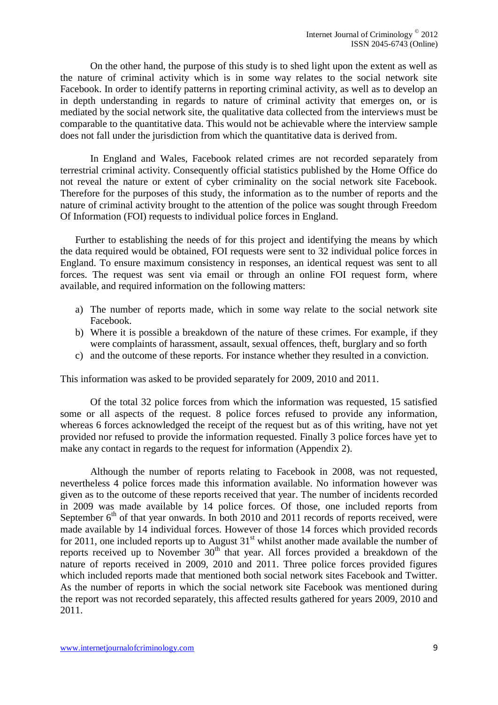On the other hand, the purpose of this study is to shed light upon the extent as well as the nature of criminal activity which is in some way relates to the social network site Facebook. In order to identify patterns in reporting criminal activity, as well as to develop an in depth understanding in regards to nature of criminal activity that emerges on, or is mediated by the social network site, the qualitative data collected from the interviews must be comparable to the quantitative data. This would not be achievable where the interview sample does not fall under the jurisdiction from which the quantitative data is derived from.

In England and Wales, Facebook related crimes are not recorded separately from terrestrial criminal activity. Consequently official statistics published by the Home Office do not reveal the nature or extent of cyber criminality on the social network site Facebook. Therefore for the purposes of this study, the information as to the number of reports and the nature of criminal activity brought to the attention of the police was sought through Freedom Of Information (FOI) requests to individual police forces in England.

Further to establishing the needs of for this project and identifying the means by which the data required would be obtained, FOI requests were sent to 32 individual police forces in England. To ensure maximum consistency in responses, an identical request was sent to all forces. The request was sent via email or through an online FOI request form, where available, and required information on the following matters:

- a) The number of reports made, which in some way relate to the social network site Facebook.
- b) Where it is possible a breakdown of the nature of these crimes. For example, if they were complaints of harassment, assault, sexual offences, theft, burglary and so forth
- c) and the outcome of these reports. For instance whether they resulted in a conviction.

This information was asked to be provided separately for 2009, 2010 and 2011.

Of the total 32 police forces from which the information was requested, 15 satisfied some or all aspects of the request. 8 police forces refused to provide any information, whereas 6 forces acknowledged the receipt of the request but as of this writing, have not yet provided nor refused to provide the information requested. Finally 3 police forces have yet to make any contact in regards to the request for information (Appendix 2).

Although the number of reports relating to Facebook in 2008, was not requested, nevertheless 4 police forces made this information available. No information however was given as to the outcome of these reports received that year. The number of incidents recorded in 2009 was made available by 14 police forces. Of those, one included reports from September  $6<sup>th</sup>$  of that year onwards. In both 2010 and 2011 records of reports received, were made available by 14 individual forces. However of those 14 forces which provided records for 2011, one included reports up to August 31<sup>st</sup> whilst another made available the number of reports received up to November  $30<sup>th</sup>$  that year. All forces provided a breakdown of the nature of reports received in 2009, 2010 and 2011. Three police forces provided figures which included reports made that mentioned both social network sites Facebook and Twitter. As the number of reports in which the social network site Facebook was mentioned during the report was not recorded separately, this affected results gathered for years 2009, 2010 and 2011.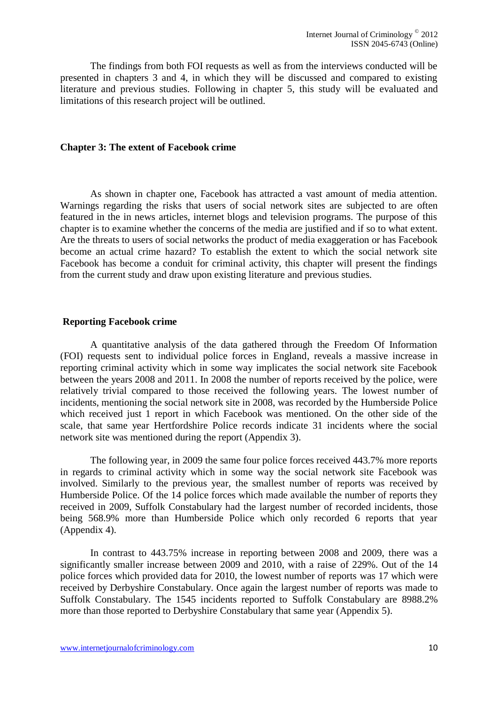The findings from both FOI requests as well as from the interviews conducted will be presented in chapters 3 and 4, in which they will be discussed and compared to existing literature and previous studies. Following in chapter 5, this study will be evaluated and limitations of this research project will be outlined.

#### <span id="page-9-0"></span>**Chapter 3: The extent of Facebook crime**

As shown in chapter one, Facebook has attracted a vast amount of media attention. Warnings regarding the risks that users of social network sites are subjected to are often featured in the in news articles, internet blogs and television programs. The purpose of this chapter is to examine whether the concerns of the media are justified and if so to what extent. Are the threats to users of social networks the product of media exaggeration or has Facebook become an actual crime hazard? To establish the extent to which the social network site Facebook has become a conduit for criminal activity, this chapter will present the findings from the current study and draw upon existing literature and previous studies.

#### <span id="page-9-1"></span>**Reporting Facebook crime**

A quantitative analysis of the data gathered through the Freedom Of Information (FOI) requests sent to individual police forces in England, reveals a massive increase in reporting criminal activity which in some way implicates the social network site Facebook between the years 2008 and 2011. In 2008 the number of reports received by the police, were relatively trivial compared to those received the following years. The lowest number of incidents, mentioning the social network site in 2008, was recorded by the Humberside Police which received just 1 report in which Facebook was mentioned. On the other side of the scale, that same year Hertfordshire Police records indicate 31 incidents where the social network site was mentioned during the report (Appendix 3).

The following year, in 2009 the same four police forces received 443.7% more reports in regards to criminal activity which in some way the social network site Facebook was involved. Similarly to the previous year, the smallest number of reports was received by Humberside Police. Of the 14 police forces which made available the number of reports they received in 2009, Suffolk Constabulary had the largest number of recorded incidents, those being 568.9% more than Humberside Police which only recorded 6 reports that year (Appendix 4).

In contrast to 443.75% increase in reporting between 2008 and 2009, there was a significantly smaller increase between 2009 and 2010, with a raise of 229%. Out of the 14 police forces which provided data for 2010, the lowest number of reports was 17 which were received by Derbyshire Constabulary. Once again the largest number of reports was made to Suffolk Constabulary. The 1545 incidents reported to Suffolk Constabulary are 8988.2% more than those reported to Derbyshire Constabulary that same year (Appendix 5).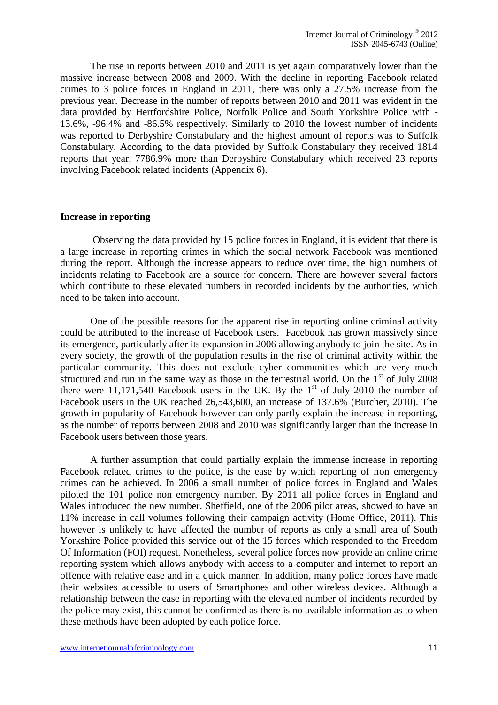The rise in reports between 2010 and 2011 is yet again comparatively lower than the massive increase between 2008 and 2009. With the decline in reporting Facebook related crimes to 3 police forces in England in 2011, there was only a 27.5% increase from the previous year. Decrease in the number of reports between 2010 and 2011 was evident in the data provided by Hertfordshire Police, Norfolk Police and South Yorkshire Police with - 13.6%, -96.4% and -86.5% respectively. Similarly to 2010 the lowest number of incidents was reported to Derbyshire Constabulary and the highest amount of reports was to Suffolk Constabulary. According to the data provided by Suffolk Constabulary they received 1814 reports that year, 7786.9% more than Derbyshire Constabulary which received 23 reports involving Facebook related incidents (Appendix 6).

#### <span id="page-10-0"></span>**Increase in reporting**

Observing the data provided by 15 police forces in England, it is evident that there is a large increase in reporting crimes in which the social network Facebook was mentioned during the report. Although the increase appears to reduce over time, the high numbers of incidents relating to Facebook are a source for concern. There are however several factors which contribute to these elevated numbers in recorded incidents by the authorities, which need to be taken into account.

One of the possible reasons for the apparent rise in reporting online criminal activity could be attributed to the increase of Facebook users. Facebook has grown massively since its emergence, particularly after its expansion in 2006 allowing anybody to join the site. As in every society, the growth of the population results in the rise of criminal activity within the particular community. This does not exclude cyber communities which are very much structured and run in the same way as those in the terrestrial world. On the  $1<sup>st</sup>$  of July 2008 there were 11,171,540 Facebook users in the UK. By the  $1<sup>st</sup>$  of July 2010 the number of Facebook users in the UK reached 26,543,600, an increase of 137.6% (Burcher, 2010). The growth in popularity of Facebook however can only partly explain the increase in reporting, as the number of reports between 2008 and 2010 was significantly larger than the increase in Facebook users between those years.

A further assumption that could partially explain the immense increase in reporting Facebook related crimes to the police, is the ease by which reporting of non emergency crimes can be achieved. In 2006 a small number of police forces in England and Wales piloted the 101 police non emergency number. By 2011 all police forces in England and Wales introduced the new number. Sheffield, one of the 2006 pilot areas, showed to have an 11% increase in call volumes following their campaign activity (Home Office, 2011). This however is unlikely to have affected the number of reports as only a small area of South Yorkshire Police provided this service out of the 15 forces which responded to the Freedom Of Information (FOI) request. Nonetheless, several police forces now provide an online crime reporting system which allows anybody with access to a computer and internet to report an offence with relative ease and in a quick manner. In addition, many police forces have made their websites accessible to users of Smartphones and other wireless devices. Although a relationship between the ease in reporting with the elevated number of incidents recorded by the police may exist, this cannot be confirmed as there is no available information as to when these methods have been adopted by each police force.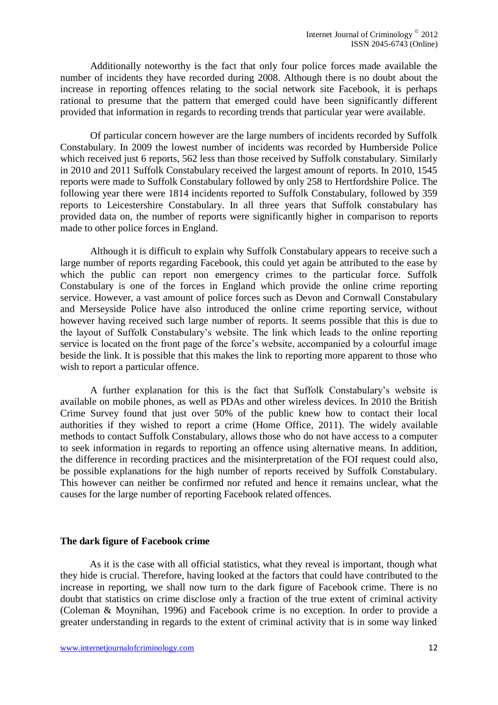Additionally noteworthy is the fact that only four police forces made available the number of incidents they have recorded during 2008. Although there is no doubt about the increase in reporting offences relating to the social network site Facebook, it is perhaps rational to presume that the pattern that emerged could have been significantly different provided that information in regards to recording trends that particular year were available.

Of particular concern however are the large numbers of incidents recorded by Suffolk Constabulary. In 2009 the lowest number of incidents was recorded by Humberside Police which received just 6 reports, 562 less than those received by Suffolk constabulary. Similarly in 2010 and 2011 Suffolk Constabulary received the largest amount of reports. In 2010, 1545 reports were made to Suffolk Constabulary followed by only 258 to Hertfordshire Police. The following year there were 1814 incidents reported to Suffolk Constabulary, followed by 359 reports to Leicestershire Constabulary. In all three years that Suffolk constabulary has provided data on, the number of reports were significantly higher in comparison to reports made to other police forces in England.

Although it is difficult to explain why Suffolk Constabulary appears to receive such a large number of reports regarding Facebook, this could yet again be attributed to the ease by which the public can report non emergency crimes to the particular force. Suffolk Constabulary is one of the forces in England which provide the online crime reporting service. However, a vast amount of police forces such as Devon and Cornwall Constabulary and Merseyside Police have also introduced the online crime reporting service, without however having received such large number of reports. It seems possible that this is due to the layout of Suffolk Constabulary's website. The link which leads to the online reporting service is located on the front page of the force's website, accompanied by a colourful image beside the link. It is possible that this makes the link to reporting more apparent to those who wish to report a particular offence.

A further explanation for this is the fact that Suffolk Constabulary's website is available on mobile phones, as well as PDAs and other wireless devices. In 2010 the British Crime Survey found that just over 50% of the public knew how to contact their local authorities if they wished to report a crime (Home Office, 2011). The widely available methods to contact Suffolk Constabulary, allows those who do not have access to a computer to seek information in regards to reporting an offence using alternative means. In addition, the difference in recording practices and the misinterpretation of the FOI request could also, be possible explanations for the high number of reports received by Suffolk Constabulary. This however can neither be confirmed nor refuted and hence it remains unclear, what the causes for the large number of reporting Facebook related offences.

#### <span id="page-11-0"></span>**The dark figure of Facebook crime**

As it is the case with all official statistics, what they reveal is important, though what they hide is crucial. Therefore, having looked at the factors that could have contributed to the increase in reporting, we shall now turn to the dark figure of Facebook crime. There is no doubt that statistics on crime disclose only a fraction of the true extent of criminal activity (Coleman & Moynihan, 1996) and Facebook crime is no exception. In order to provide a greater understanding in regards to the extent of criminal activity that is in some way linked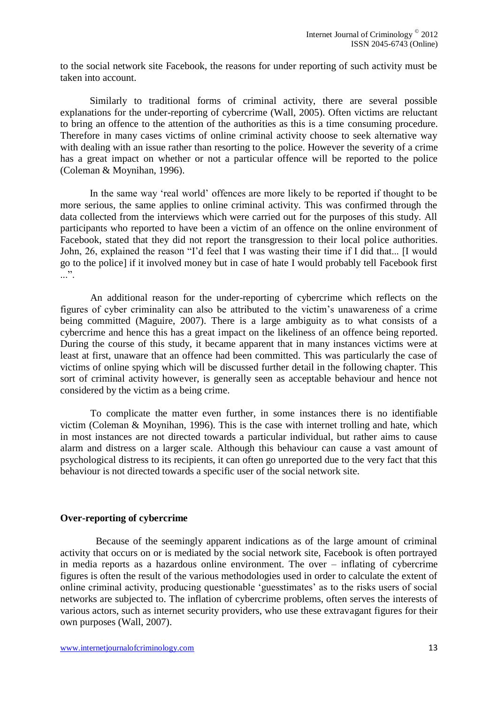to the social network site Facebook, the reasons for under reporting of such activity must be taken into account.

Similarly to traditional forms of criminal activity, there are several possible explanations for the under-reporting of cybercrime (Wall, 2005). Often victims are reluctant to bring an offence to the attention of the authorities as this is a time consuming procedure. Therefore in many cases victims of online criminal activity choose to seek alternative way with dealing with an issue rather than resorting to the police. However the severity of a crime has a great impact on whether or not a particular offence will be reported to the police (Coleman & Moynihan, 1996).

In the same way 'real world' offences are more likely to be reported if thought to be more serious, the same applies to online criminal activity. This was confirmed through the data collected from the interviews which were carried out for the purposes of this study. All participants who reported to have been a victim of an offence on the online environment of Facebook, stated that they did not report the transgression to their local police authorities. John, 26, explained the reason "I'd feel that I was wasting their time if I did that... [I would go to the police] if it involved money but in case of hate I would probably tell Facebook first  $\cdot$ ...".

An additional reason for the under-reporting of cybercrime which reflects on the figures of cyber criminality can also be attributed to the victim's unawareness of a crime being committed (Maguire, 2007). There is a large ambiguity as to what consists of a cybercrime and hence this has a great impact on the likeliness of an offence being reported. During the course of this study, it became apparent that in many instances victims were at least at first, unaware that an offence had been committed. This was particularly the case of victims of online spying which will be discussed further detail in the following chapter. This sort of criminal activity however, is generally seen as acceptable behaviour and hence not considered by the victim as a being crime.

To complicate the matter even further, in some instances there is no identifiable victim (Coleman & Moynihan, 1996). This is the case with internet trolling and hate, which in most instances are not directed towards a particular individual, but rather aims to cause alarm and distress on a larger scale. Although this behaviour can cause a vast amount of psychological distress to its recipients, it can often go unreported due to the very fact that this behaviour is not directed towards a specific user of the social network site.

#### <span id="page-12-0"></span>**Over-reporting of cybercrime**

Because of the seemingly apparent indications as of the large amount of criminal activity that occurs on or is mediated by the social network site, Facebook is often portrayed in media reports as a hazardous online environment. The over – inflating of cybercrime figures is often the result of the various methodologies used in order to calculate the extent of online criminal activity, producing questionable 'guesstimates' as to the risks users of social networks are subjected to. The inflation of cybercrime problems, often serves the interests of various actors, such as internet security providers, who use these extravagant figures for their own purposes (Wall, 2007).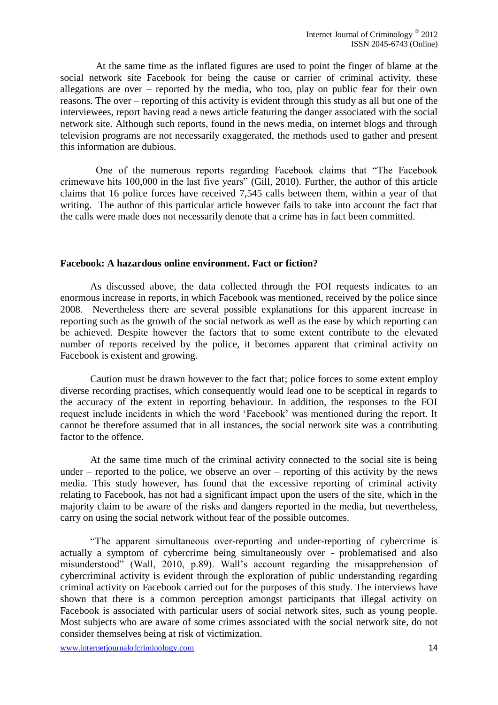At the same time as the inflated figures are used to point the finger of blame at the social network site Facebook for being the cause or carrier of criminal activity, these allegations are over – reported by the media, who too, play on public fear for their own reasons. The over – reporting of this activity is evident through this study as all but one of the interviewees, report having read a news article featuring the danger associated with the social network site. Although such reports, found in the news media, on internet blogs and through television programs are not necessarily exaggerated, the methods used to gather and present this information are dubious.

One of the numerous reports regarding Facebook claims that "The Facebook crimewave hits 100,000 in the last five years" (Gill, 2010). Further, the author of this article claims that 16 police forces have received 7,545 calls between them, within a year of that writing. The author of this particular article however fails to take into account the fact that the calls were made does not necessarily denote that a crime has in fact been committed.

#### <span id="page-13-0"></span>**Facebook: A hazardous online environment. Fact or fiction?**

As discussed above, the data collected through the FOI requests indicates to an enormous increase in reports, in which Facebook was mentioned, received by the police since 2008. Nevertheless there are several possible explanations for this apparent increase in reporting such as the growth of the social network as well as the ease by which reporting can be achieved. Despite however the factors that to some extent contribute to the elevated number of reports received by the police, it becomes apparent that criminal activity on Facebook is existent and growing.

Caution must be drawn however to the fact that; police forces to some extent employ diverse recording practises, which consequently would lead one to be sceptical in regards to the accuracy of the extent in reporting behaviour. In addition, the responses to the FOI request include incidents in which the word 'Facebook' was mentioned during the report. It cannot be therefore assumed that in all instances, the social network site was a contributing factor to the offence.

At the same time much of the criminal activity connected to the social site is being under – reported to the police, we observe an over – reporting of this activity by the news media. This study however, has found that the excessive reporting of criminal activity relating to Facebook, has not had a significant impact upon the users of the site, which in the majority claim to be aware of the risks and dangers reported in the media, but nevertheless, carry on using the social network without fear of the possible outcomes.

"The apparent simultaneous over-reporting and under-reporting of cybercrime is actually a symptom of cybercrime being simultaneously over - problematised and also misunderstood" (Wall, 2010, p.89). Wall's account regarding the misapprehension of cybercriminal activity is evident through the exploration of public understanding regarding criminal activity on Facebook carried out for the purposes of this study. The interviews have shown that there is a common perception amongst participants that illegal activity on Facebook is associated with particular users of social network sites, such as young people. Most subjects who are aware of some crimes associated with the social network site, do not consider themselves being at risk of victimization.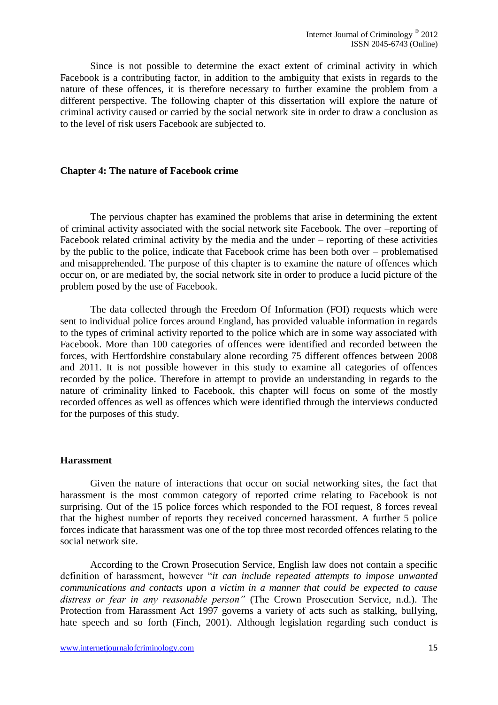Since is not possible to determine the exact extent of criminal activity in which Facebook is a contributing factor, in addition to the ambiguity that exists in regards to the nature of these offences, it is therefore necessary to further examine the problem from a different perspective. The following chapter of this dissertation will explore the nature of criminal activity caused or carried by the social network site in order to draw a conclusion as to the level of risk users Facebook are subjected to.

#### <span id="page-14-0"></span>**Chapter 4: The nature of Facebook crime**

The pervious chapter has examined the problems that arise in determining the extent of criminal activity associated with the social network site Facebook. The over –reporting of Facebook related criminal activity by the media and the under – reporting of these activities by the public to the police, indicate that Facebook crime has been both over – problematised and misapprehended. The purpose of this chapter is to examine the nature of offences which occur on, or are mediated by, the social network site in order to produce a lucid picture of the problem posed by the use of Facebook.

The data collected through the Freedom Of Information (FOI) requests which were sent to individual police forces around England, has provided valuable information in regards to the types of criminal activity reported to the police which are in some way associated with Facebook. More than 100 categories of offences were identified and recorded between the forces, with Hertfordshire constabulary alone recording 75 different offences between 2008 and 2011. It is not possible however in this study to examine all categories of offences recorded by the police. Therefore in attempt to provide an understanding in regards to the nature of criminality linked to Facebook, this chapter will focus on some of the mostly recorded offences as well as offences which were identified through the interviews conducted for the purposes of this study.

#### <span id="page-14-1"></span>**Harassment**

Given the nature of interactions that occur on social networking sites, the fact that harassment is the most common category of reported crime relating to Facebook is not surprising. Out of the 15 police forces which responded to the FOI request, 8 forces reveal that the highest number of reports they received concerned harassment. A further 5 police forces indicate that harassment was one of the top three most recorded offences relating to the social network site.

According to the Crown Prosecution Service, English law does not contain a specific definition of harassment, however "*it can include repeated attempts to impose unwanted communications and contacts upon a victim in a manner that could be expected to cause distress or fear in any reasonable person"* (The Crown Prosecution Service, n.d.). The Protection from Harassment Act 1997 governs a variety of acts such as stalking, bullying, hate speech and so forth (Finch, 2001). Although legislation regarding such conduct is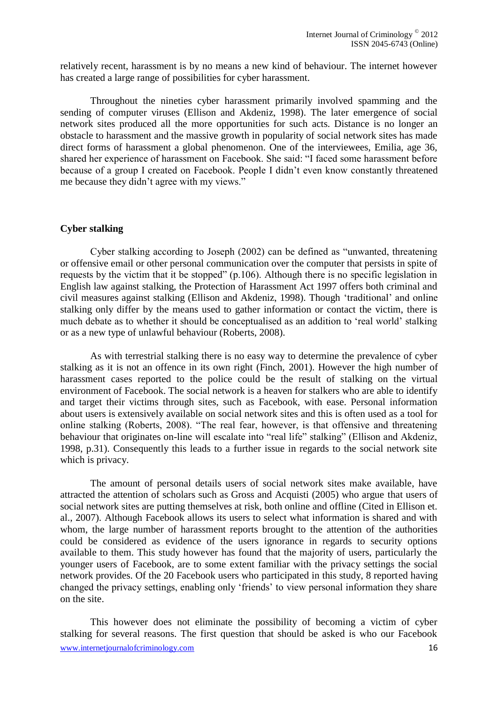relatively recent, harassment is by no means a new kind of behaviour. The internet however has created a large range of possibilities for cyber harassment.

Throughout the nineties cyber harassment primarily involved spamming and the sending of computer viruses (Ellison and Akdeniz, 1998). The later emergence of social network sites produced all the more opportunities for such acts. Distance is no longer an obstacle to harassment and the massive growth in popularity of social network sites has made direct forms of harassment a global phenomenon. One of the interviewees, Emilia, age 36, shared her experience of harassment on Facebook. She said: "I faced some harassment before because of a group I created on Facebook. People I didn't even know constantly threatened me because they didn't agree with my views."

#### <span id="page-15-0"></span>**Cyber stalking**

Cyber stalking according to Joseph (2002) can be defined as "unwanted, threatening or offensive email or other personal communication over the computer that persists in spite of requests by the victim that it be stopped" (p.106). Although there is no specific legislation in English law against stalking, the Protection of Harassment Act 1997 offers both criminal and civil measures against stalking (Ellison and Akdeniz, 1998). Though 'traditional' and online stalking only differ by the means used to gather information or contact the victim, there is much debate as to whether it should be conceptualised as an addition to 'real world' stalking or as a new type of unlawful behaviour (Roberts, 2008).

As with terrestrial stalking there is no easy way to determine the prevalence of cyber stalking as it is not an offence in its own right (Finch, 2001). However the high number of harassment cases reported to the police could be the result of stalking on the virtual environment of Facebook. The social network is a heaven for stalkers who are able to identify and target their victims through sites, such as Facebook, with ease. Personal information about users is extensively available on social network sites and this is often used as a tool for online stalking (Roberts, 2008). "The real fear, however, is that offensive and threatening behaviour that originates on-line will escalate into "real life" stalking" (Ellison and Akdeniz, 1998, p.31). Consequently this leads to a further issue in regards to the social network site which is privacy.

The amount of personal details users of social network sites make available, have attracted the attention of scholars such as Gross and Acquisti (2005) who argue that users of social network sites are putting themselves at risk, both online and offline (Cited in Ellison et. al., 2007). Although Facebook allows its users to select what information is shared and with whom, the large number of harassment reports brought to the attention of the authorities could be considered as evidence of the users ignorance in regards to security options available to them. This study however has found that the majority of users, particularly the younger users of Facebook, are to some extent familiar with the privacy settings the social network provides. Of the 20 Facebook users who participated in this study, 8 reported having changed the privacy settings, enabling only 'friends' to view personal information they share on the site.

www.internetjournalofcriminology.com 16 This however does not eliminate the possibility of becoming a victim of cyber stalking for several reasons. The first question that should be asked is who our Facebook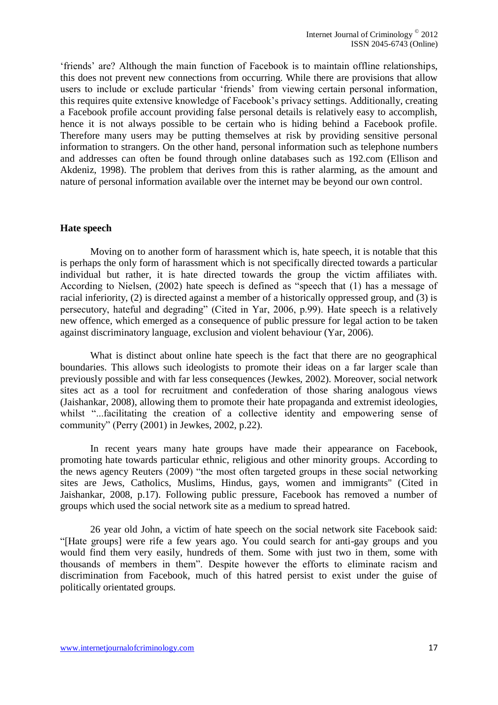'friends' are? Although the main function of Facebook is to maintain offline relationships, this does not prevent new connections from occurring. While there are provisions that allow users to include or exclude particular 'friends' from viewing certain personal information, this requires quite extensive knowledge of Facebook's privacy settings. Additionally, creating a Facebook profile account providing false personal details is relatively easy to accomplish, hence it is not always possible to be certain who is hiding behind a Facebook profile. Therefore many users may be putting themselves at risk by providing sensitive personal information to strangers. On the other hand, personal information such as telephone numbers and addresses can often be found through online databases such as 192.com (Ellison and Akdeniz, 1998). The problem that derives from this is rather alarming, as the amount and nature of personal information available over the internet may be beyond our own control.

#### <span id="page-16-0"></span>**Hate speech**

Moving on to another form of harassment which is, hate speech, it is notable that this is perhaps the only form of harassment which is not specifically directed towards a particular individual but rather, it is hate directed towards the group the victim affiliates with. According to Nielsen, (2002) hate speech is defined as "speech that (1) has a message of racial inferiority, (2) is directed against a member of a historically oppressed group, and (3) is persecutory, hateful and degrading" (Cited in Yar, 2006, p.99). Hate speech is a relatively new offence, which emerged as a consequence of public pressure for legal action to be taken against discriminatory language, exclusion and violent behaviour (Yar, 2006).

What is distinct about online hate speech is the fact that there are no geographical boundaries. This allows such ideologists to promote their ideas on a far larger scale than previously possible and with far less consequences (Jewkes, 2002). Moreover, social network sites act as a tool for recruitment and confederation of those sharing analogous views (Jaishankar, 2008), allowing them to promote their hate propaganda and extremist ideologies, whilst "...facilitating the creation of a collective identity and empowering sense of community" (Perry (2001) in Jewkes, 2002, p.22).

In recent years many hate groups have made their appearance on Facebook, promoting hate towards particular ethnic, religious and other minority groups. According to the news agency Reuters (2009) "the most often targeted groups in these social networking sites are Jews, Catholics, Muslims, Hindus, gays, women and immigrants" (Cited in Jaishankar, 2008, p.17). Following public pressure, Facebook has removed a number of groups which used the social network site as a medium to spread hatred.

26 year old John, a victim of hate speech on the social network site Facebook said: "[Hate groups] were rife a few years ago. You could search for anti-gay groups and you would find them very easily, hundreds of them. Some with just two in them, some with thousands of members in them". Despite however the efforts to eliminate racism and discrimination from Facebook, much of this hatred persist to exist under the guise of politically orientated groups.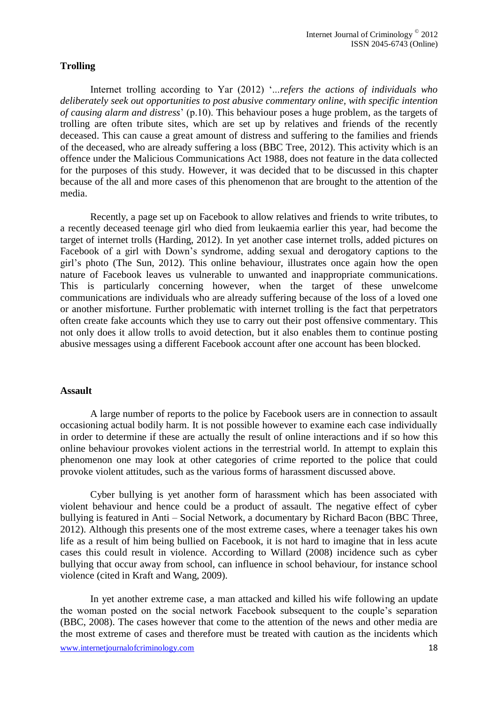#### <span id="page-17-0"></span>**Trolling**

Internet trolling according to Yar (2012) '...*refers the actions of individuals who deliberately seek out opportunities to post abusive commentary online, with specific intention of causing alarm and distress*' (p.10). This behaviour poses a huge problem, as the targets of trolling are often tribute sites, which are set up by relatives and friends of the recently deceased. This can cause a great amount of distress and suffering to the families and friends of the deceased, who are already suffering a loss (BBC Tree, 2012). This activity which is an offence under the Malicious Communications Act 1988, does not feature in the data collected for the purposes of this study. However, it was decided that to be discussed in this chapter because of the all and more cases of this phenomenon that are brought to the attention of the media.

Recently, a page set up on Facebook to allow relatives and friends to write tributes, to a recently deceased teenage girl who died from leukaemia earlier this year, had become the target of internet trolls (Harding, 2012). In yet another case internet trolls, added pictures on Facebook of a girl with Down's syndrome, adding sexual and derogatory captions to the girl's photo (The Sun, 2012). This online behaviour, illustrates once again how the open nature of Facebook leaves us vulnerable to unwanted and inappropriate communications. This is particularly concerning however, when the target of these unwelcome communications are individuals who are already suffering because of the loss of a loved one or another misfortune. Further problematic with internet trolling is the fact that perpetrators often create fake accounts which they use to carry out their post offensive commentary. This not only does it allow trolls to avoid detection, but it also enables them to continue posting abusive messages using a different Facebook account after one account has been blocked.

#### <span id="page-17-1"></span>**Assault**

A large number of reports to the police by Facebook users are in connection to assault occasioning actual bodily harm. It is not possible however to examine each case individually in order to determine if these are actually the result of online interactions and if so how this online behaviour provokes violent actions in the terrestrial world. In attempt to explain this phenomenon one may look at other categories of crime reported to the police that could provoke violent attitudes, such as the various forms of harassment discussed above.

Cyber bullying is yet another form of harassment which has been associated with violent behaviour and hence could be a product of assault. The negative effect of cyber bullying is featured in Anti – Social Network, a documentary by Richard Bacon (BBC Three, 2012). Although this presents one of the most extreme cases, where a teenager takes his own life as a result of him being bullied on Facebook, it is not hard to imagine that in less acute cases this could result in violence. According to Willard (2008) incidence such as cyber bullying that occur away from school, can influence in school behaviour, for instance school violence (cited in Kraft and Wang, 2009).

www.internetjournalofcriminology.com 18 In yet another extreme case, a man attacked and killed his wife following an update the woman posted on the social network Facebook subsequent to the couple's separation (BBC, 2008). The cases however that come to the attention of the news and other media are the most extreme of cases and therefore must be treated with caution as the incidents which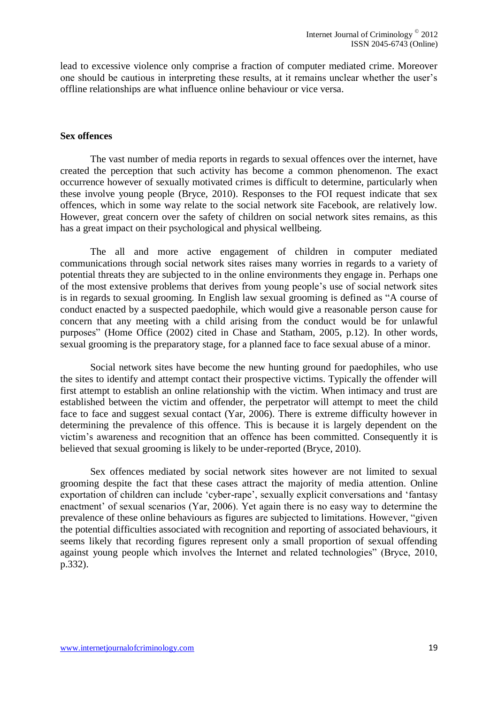lead to excessive violence only comprise a fraction of computer mediated crime. Moreover one should be cautious in interpreting these results, at it remains unclear whether the user's offline relationships are what influence online behaviour or vice versa.

#### <span id="page-18-0"></span>**Sex offences**

The vast number of media reports in regards to sexual offences over the internet, have created the perception that such activity has become a common phenomenon. The exact occurrence however of sexually motivated crimes is difficult to determine, particularly when these involve young people (Bryce, 2010). Responses to the FOI request indicate that sex offences, which in some way relate to the social network site Facebook, are relatively low. However, great concern over the safety of children on social network sites remains, as this has a great impact on their psychological and physical wellbeing.

The all and more active engagement of children in computer mediated communications through social network sites raises many worries in regards to a variety of potential threats they are subjected to in the online environments they engage in. Perhaps one of the most extensive problems that derives from young people's use of social network sites is in regards to sexual grooming. In English law sexual grooming is defined as "A course of conduct enacted by a suspected paedophile, which would give a reasonable person cause for concern that any meeting with a child arising from the conduct would be for unlawful purposes" (Home Office (2002) cited in Chase and Statham, 2005, p.12). In other words, sexual grooming is the preparatory stage, for a planned face to face sexual abuse of a minor.

Social network sites have become the new hunting ground for paedophiles, who use the sites to identify and attempt contact their prospective victims. Typically the offender will first attempt to establish an online relationship with the victim. When intimacy and trust are established between the victim and offender, the perpetrator will attempt to meet the child face to face and suggest sexual contact (Yar, 2006). There is extreme difficulty however in determining the prevalence of this offence. This is because it is largely dependent on the victim's awareness and recognition that an offence has been committed. Consequently it is believed that sexual grooming is likely to be under-reported (Bryce, 2010).

Sex offences mediated by social network sites however are not limited to sexual grooming despite the fact that these cases attract the majority of media attention. Online exportation of children can include 'cyber-rape', sexually explicit conversations and 'fantasy enactment' of sexual scenarios (Yar, 2006). Yet again there is no easy way to determine the prevalence of these online behaviours as figures are subjected to limitations. However, "given the potential difficulties associated with recognition and reporting of associated behaviours, it seems likely that recording figures represent only a small proportion of sexual offending against young people which involves the Internet and related technologies" (Bryce, 2010, p.332).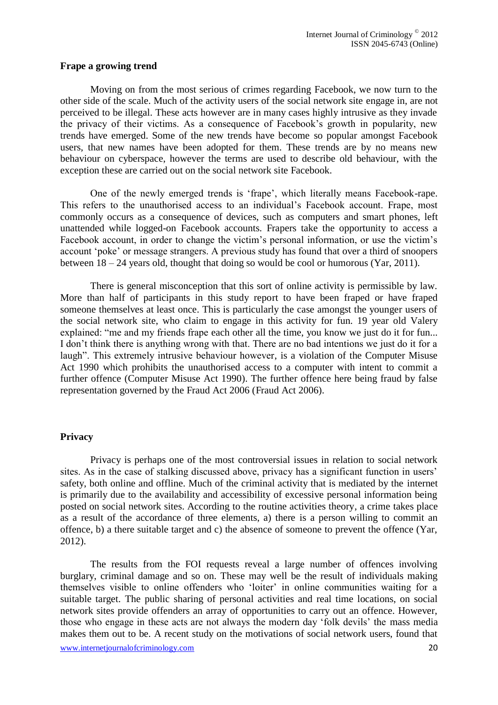#### <span id="page-19-0"></span>**Frape a growing trend**

Moving on from the most serious of crimes regarding Facebook, we now turn to the other side of the scale. Much of the activity users of the social network site engage in, are not perceived to be illegal. These acts however are in many cases highly intrusive as they invade the privacy of their victims. As a consequence of Facebook's growth in popularity, new trends have emerged. Some of the new trends have become so popular amongst Facebook users, that new names have been adopted for them. These trends are by no means new behaviour on cyberspace, however the terms are used to describe old behaviour, with the exception these are carried out on the social network site Facebook.

One of the newly emerged trends is 'frape', which literally means Facebook-rape. This refers to the unauthorised access to an individual's Facebook account. Frape, most commonly occurs as a consequence of devices, such as computers and smart phones, left unattended while logged-on Facebook accounts. Frapers take the opportunity to access a Facebook account, in order to change the victim's personal information, or use the victim's account 'poke' or message strangers. A previous study has found that over a third of snoopers between 18 – 24 years old, thought that doing so would be cool or humorous (Yar, 2011).

There is general misconception that this sort of online activity is permissible by law. More than half of participants in this study report to have been fraped or have fraped someone themselves at least once. This is particularly the case amongst the younger users of the social network site, who claim to engage in this activity for fun. 19 year old Valery explained: "me and my friends frape each other all the time, you know we just do it for fun... I don't think there is anything wrong with that. There are no bad intentions we just do it for a laugh". This extremely intrusive behaviour however, is a violation of the Computer Misuse Act 1990 which prohibits the unauthorised access to a computer with intent to commit a further offence (Computer Misuse Act 1990). The further offence here being fraud by false representation governed by the Fraud Act 2006 (Fraud Act 2006).

#### <span id="page-19-1"></span>**Privacy**

Privacy is perhaps one of the most controversial issues in relation to social network sites. As in the case of stalking discussed above, privacy has a significant function in users' safety, both online and offline. Much of the criminal activity that is mediated by the internet is primarily due to the availability and accessibility of excessive personal information being posted on social network sites. According to the routine activities theory, a crime takes place as a result of the accordance of three elements, a) there is a person willing to commit an offence, b) a there suitable target and c) the absence of someone to prevent the offence (Yar, 2012).

www.internetjournalofcriminology.com 20 The results from the FOI requests reveal a large number of offences involving burglary, criminal damage and so on. These may well be the result of individuals making themselves visible to online offenders who 'loiter' in online communities waiting for a suitable target. The public sharing of personal activities and real time locations, on social network sites provide offenders an array of opportunities to carry out an offence. However, those who engage in these acts are not always the modern day 'folk devils' the mass media makes them out to be. A recent study on the motivations of social network users, found that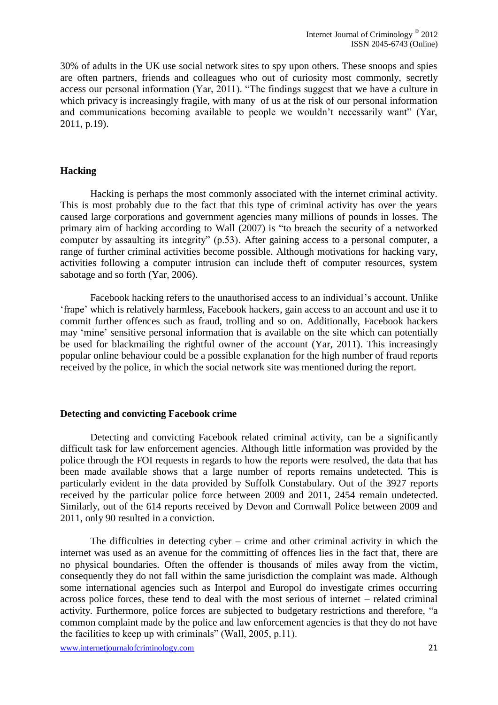30% of adults in the UK use social network sites to spy upon others. These snoops and spies are often partners, friends and colleagues who out of curiosity most commonly, secretly access our personal information (Yar, 2011). "The findings suggest that we have a culture in which privacy is increasingly fragile, with many of us at the risk of our personal information and communications becoming available to people we wouldn't necessarily want" (Yar, 2011, p.19).

#### <span id="page-20-0"></span>**Hacking**

Hacking is perhaps the most commonly associated with the internet criminal activity. This is most probably due to the fact that this type of criminal activity has over the years caused large corporations and government agencies many millions of pounds in losses. The primary aim of hacking according to Wall (2007) is "to breach the security of a networked computer by assaulting its integrity" (p.53). After gaining access to a personal computer, a range of further criminal activities become possible. Although motivations for hacking vary, activities following a computer intrusion can include theft of computer resources, system sabotage and so forth (Yar, 2006).

Facebook hacking refers to the unauthorised access to an individual's account. Unlike 'frape' which is relatively harmless, Facebook hackers, gain access to an account and use it to commit further offences such as fraud, trolling and so on. Additionally, Facebook hackers may 'mine' sensitive personal information that is available on the site which can potentially be used for blackmailing the rightful owner of the account (Yar, 2011). This increasingly popular online behaviour could be a possible explanation for the high number of fraud reports received by the police, in which the social network site was mentioned during the report.

#### <span id="page-20-1"></span>**Detecting and convicting Facebook crime**

Detecting and convicting Facebook related criminal activity, can be a significantly difficult task for law enforcement agencies. Although little information was provided by the police through the FOI requests in regards to how the reports were resolved, the data that has been made available shows that a large number of reports remains undetected. This is particularly evident in the data provided by Suffolk Constabulary. Out of the 3927 reports received by the particular police force between 2009 and 2011, 2454 remain undetected. Similarly, out of the 614 reports received by Devon and Cornwall Police between 2009 and 2011, only 90 resulted in a conviction.

The difficulties in detecting cyber – crime and other criminal activity in which the internet was used as an avenue for the committing of offences lies in the fact that, there are no physical boundaries. Often the offender is thousands of miles away from the victim, consequently they do not fall within the same jurisdiction the complaint was made. Although some international agencies such as Interpol and Europol do investigate crimes occurring across police forces, these tend to deal with the most serious of internet – related criminal activity. Furthermore, police forces are subjected to budgetary restrictions and therefore, "a common complaint made by the police and law enforcement agencies is that they do not have the facilities to keep up with criminals" (Wall, 2005, p.11).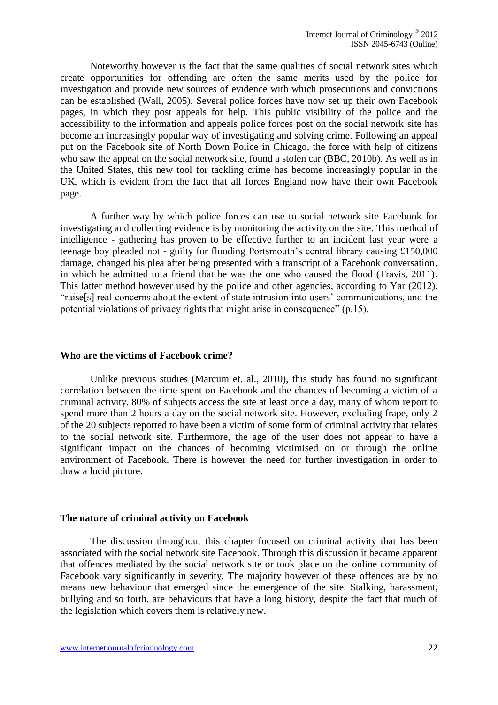Noteworthy however is the fact that the same qualities of social network sites which create opportunities for offending are often the same merits used by the police for investigation and provide new sources of evidence with which prosecutions and convictions can be established (Wall, 2005). Several police forces have now set up their own Facebook pages, in which they post appeals for help. This public visibility of the police and the accessibility to the information and appeals police forces post on the social network site has become an increasingly popular way of investigating and solving crime. Following an appeal put on the Facebook site of North Down Police in Chicago, the force with help of citizens who saw the appeal on the social network site, found a stolen car (BBC, 2010b). As well as in the United States, this new tool for tackling crime has become increasingly popular in the UK, which is evident from the fact that all forces England now have their own Facebook page.

A further way by which police forces can use to social network site Facebook for investigating and collecting evidence is by monitoring the activity on the site. This method of intelligence - gathering has proven to be effective further to an incident last year were a teenage boy pleaded not - guilty for flooding Portsmouth's central library causing £150,000 damage, changed his plea after being presented with a transcript of a Facebook conversation, in which he admitted to a friend that he was the one who caused the flood (Travis, 2011). This latter method however used by the police and other agencies, according to Yar (2012), "raise[s] real concerns about the extent of state intrusion into users' communications, and the potential violations of privacy rights that might arise in consequence" (p.15).

#### <span id="page-21-0"></span>**Who are the victims of Facebook crime?**

Unlike previous studies (Marcum et. al., 2010), this study has found no significant correlation between the time spent on Facebook and the chances of becoming a victim of a criminal activity. 80% of subjects access the site at least once a day, many of whom report to spend more than 2 hours a day on the social network site. However, excluding frape, only 2 of the 20 subjects reported to have been a victim of some form of criminal activity that relates to the social network site. Furthermore, the age of the user does not appear to have a significant impact on the chances of becoming victimised on or through the online environment of Facebook. There is however the need for further investigation in order to draw a lucid picture.

#### <span id="page-21-1"></span>**The nature of criminal activity on Facebook**

The discussion throughout this chapter focused on criminal activity that has been associated with the social network site Facebook. Through this discussion it became apparent that offences mediated by the social network site or took place on the online community of Facebook vary significantly in severity. The majority however of these offences are by no means new behaviour that emerged since the emergence of the site. Stalking, harassment, bullying and so forth, are behaviours that have a long history, despite the fact that much of the legislation which covers them is relatively new.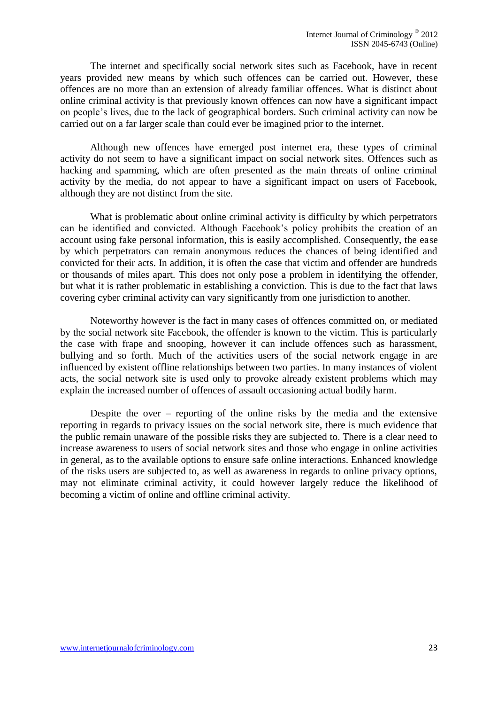The internet and specifically social network sites such as Facebook, have in recent years provided new means by which such offences can be carried out. However, these offences are no more than an extension of already familiar offences. What is distinct about online criminal activity is that previously known offences can now have a significant impact on people's lives, due to the lack of geographical borders. Such criminal activity can now be carried out on a far larger scale than could ever be imagined prior to the internet.

Although new offences have emerged post internet era, these types of criminal activity do not seem to have a significant impact on social network sites. Offences such as hacking and spamming, which are often presented as the main threats of online criminal activity by the media, do not appear to have a significant impact on users of Facebook, although they are not distinct from the site.

What is problematic about online criminal activity is difficulty by which perpetrators can be identified and convicted. Although Facebook's policy prohibits the creation of an account using fake personal information, this is easily accomplished. Consequently, the ease by which perpetrators can remain anonymous reduces the chances of being identified and convicted for their acts. In addition, it is often the case that victim and offender are hundreds or thousands of miles apart. This does not only pose a problem in identifying the offender, but what it is rather problematic in establishing a conviction. This is due to the fact that laws covering cyber criminal activity can vary significantly from one jurisdiction to another.

Noteworthy however is the fact in many cases of offences committed on, or mediated by the social network site Facebook, the offender is known to the victim. This is particularly the case with frape and snooping, however it can include offences such as harassment, bullying and so forth. Much of the activities users of the social network engage in are influenced by existent offline relationships between two parties. In many instances of violent acts, the social network site is used only to provoke already existent problems which may explain the increased number of offences of assault occasioning actual bodily harm.

<span id="page-22-0"></span>Despite the over – reporting of the online risks by the media and the extensive reporting in regards to privacy issues on the social network site, there is much evidence that the public remain unaware of the possible risks they are subjected to. There is a clear need to increase awareness to users of social network sites and those who engage in online activities in general, as to the available options to ensure safe online interactions. Enhanced knowledge of the risks users are subjected to, as well as awareness in regards to online privacy options, may not eliminate criminal activity, it could however largely reduce the likelihood of becoming a victim of online and offline criminal activity.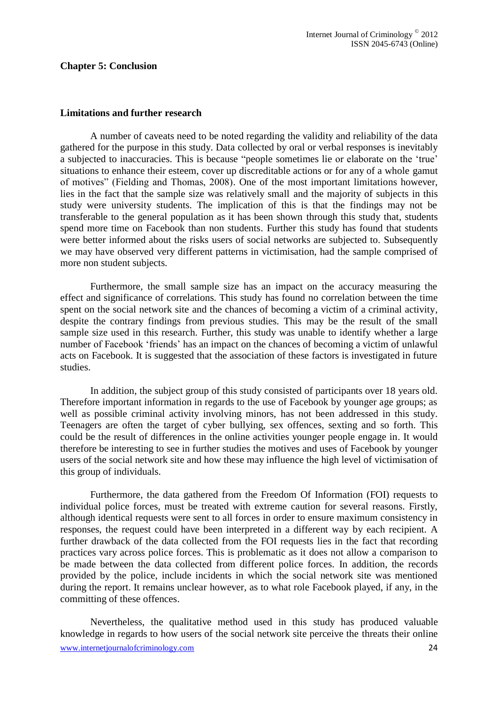#### **Chapter 5: Conclusion**

#### <span id="page-23-0"></span>**Limitations and further research**

A number of caveats need to be noted regarding the validity and reliability of the data gathered for the purpose in this study. Data collected by oral or verbal responses is inevitably a subjected to inaccuracies. This is because "people sometimes lie or elaborate on the 'true' situations to enhance their esteem, cover up discreditable actions or for any of a whole gamut of motives" (Fielding and Thomas, 2008). One of the most important limitations however, lies in the fact that the sample size was relatively small and the majority of subjects in this study were university students. The implication of this is that the findings may not be transferable to the general population as it has been shown through this study that, students spend more time on Facebook than non students. Further this study has found that students were better informed about the risks users of social networks are subjected to. Subsequently we may have observed very different patterns in victimisation, had the sample comprised of more non student subjects.

Furthermore, the small sample size has an impact on the accuracy measuring the effect and significance of correlations. This study has found no correlation between the time spent on the social network site and the chances of becoming a victim of a criminal activity, despite the contrary findings from previous studies. This may be the result of the small sample size used in this research. Further, this study was unable to identify whether a large number of Facebook 'friends' has an impact on the chances of becoming a victim of unlawful acts on Facebook. It is suggested that the association of these factors is investigated in future studies.

In addition, the subject group of this study consisted of participants over 18 years old. Therefore important information in regards to the use of Facebook by younger age groups; as well as possible criminal activity involving minors, has not been addressed in this study. Teenagers are often the target of cyber bullying, sex offences, sexting and so forth. This could be the result of differences in the online activities younger people engage in. It would therefore be interesting to see in further studies the motives and uses of Facebook by younger users of the social network site and how these may influence the high level of victimisation of this group of individuals.

Furthermore, the data gathered from the Freedom Of Information (FOI) requests to individual police forces, must be treated with extreme caution for several reasons. Firstly, although identical requests were sent to all forces in order to ensure maximum consistency in responses, the request could have been interpreted in a different way by each recipient. A further drawback of the data collected from the FOI requests lies in the fact that recording practices vary across police forces. This is problematic as it does not allow a comparison to be made between the data collected from different police forces. In addition, the records provided by the police, include incidents in which the social network site was mentioned during the report. It remains unclear however, as to what role Facebook played, if any, in the committing of these offences.

www.internetjournalofcriminology.com 24 Nevertheless, the qualitative method used in this study has produced valuable knowledge in regards to how users of the social network site perceive the threats their online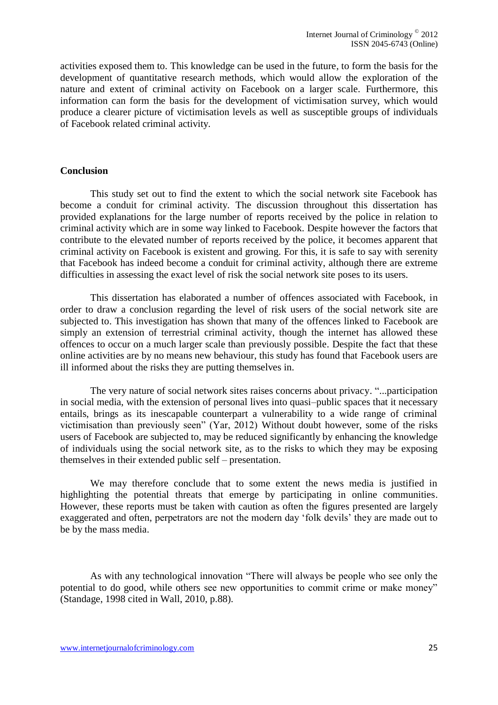activities exposed them to. This knowledge can be used in the future, to form the basis for the development of quantitative research methods, which would allow the exploration of the nature and extent of criminal activity on Facebook on a larger scale. Furthermore, this information can form the basis for the development of victimisation survey, which would produce a clearer picture of victimisation levels as well as susceptible groups of individuals of Facebook related criminal activity.

#### <span id="page-24-0"></span>**Conclusion**

This study set out to find the extent to which the social network site Facebook has become a conduit for criminal activity. The discussion throughout this dissertation has provided explanations for the large number of reports received by the police in relation to criminal activity which are in some way linked to Facebook. Despite however the factors that contribute to the elevated number of reports received by the police, it becomes apparent that criminal activity on Facebook is existent and growing. For this, it is safe to say with serenity that Facebook has indeed become a conduit for criminal activity, although there are extreme difficulties in assessing the exact level of risk the social network site poses to its users.

This dissertation has elaborated a number of offences associated with Facebook, in order to draw a conclusion regarding the level of risk users of the social network site are subjected to. This investigation has shown that many of the offences linked to Facebook are simply an extension of terrestrial criminal activity, though the internet has allowed these offences to occur on a much larger scale than previously possible. Despite the fact that these online activities are by no means new behaviour, this study has found that Facebook users are ill informed about the risks they are putting themselves in.

The very nature of social network sites raises concerns about privacy. "...participation in social media, with the extension of personal lives into quasi–public spaces that it necessary entails, brings as its inescapable counterpart a vulnerability to a wide range of criminal victimisation than previously seen" (Yar, 2012) Without doubt however, some of the risks users of Facebook are subjected to, may be reduced significantly by enhancing the knowledge of individuals using the social network site, as to the risks to which they may be exposing themselves in their extended public self – presentation.

We may therefore conclude that to some extent the news media is justified in highlighting the potential threats that emerge by participating in online communities. However, these reports must be taken with caution as often the figures presented are largely exaggerated and often, perpetrators are not the modern day 'folk devils' they are made out to be by the mass media.

As with any technological innovation "There will always be people who see only the potential to do good, while others see new opportunities to commit crime or make money" (Standage, 1998 cited in Wall, 2010, p.88).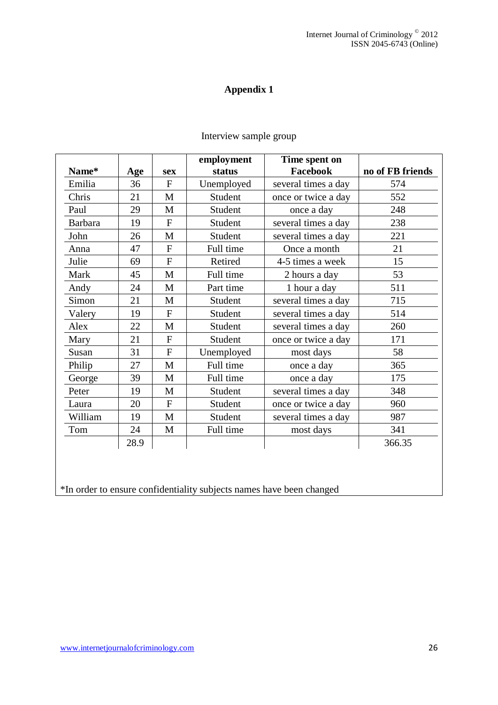<span id="page-25-0"></span>

|                |      |                | employment | Time spent on       |                  |
|----------------|------|----------------|------------|---------------------|------------------|
| Name*          | Age  | <b>sex</b>     | status     | Facebook            | no of FB friends |
| Emilia         | 36   | $\mathbf{F}$   | Unemployed | several times a day | 574              |
| Chris          | 21   | M              | Student    | once or twice a day | 552              |
| Paul           | 29   | M              | Student    | once a day          | 248              |
| <b>Barbara</b> | 19   | $\mathbf F$    | Student    | several times a day | 238              |
| John           | 26   | $\mathbf{M}$   | Student    | several times a day | 221              |
| Anna           | 47   | $\mathbf{F}$   | Full time  | Once a month        | 21               |
| Julie          | 69   | ${\bf F}$      | Retired    | 4-5 times a week    | 15               |
| Mark           | 45   | M              | Full time  | 2 hours a day       | 53               |
| Andy           | 24   | M              | Part time  | 1 hour a day        | 511              |
| Simon          | 21   | M              | Student    | several times a day | 715              |
| Valery         | 19   | $\mathbf{F}$   | Student    | several times a day | 514              |
| Alex           | 22   | M              | Student    | several times a day | 260              |
| Mary           | 21   | $\mathbf{F}$   | Student    | once or twice a day | 171              |
| Susan          | 31   | $\mathbf{F}$   | Unemployed | most days           | 58               |
| Philip         | 27   | M              | Full time  | once a day          | 365              |
| George         | 39   | M              | Full time  | once a day          | 175              |
| Peter          | 19   | M              | Student    | several times a day | 348              |
| Laura          | 20   | $\overline{F}$ | Student    | once or twice a day | 960              |
| William        | 19   | M              | Student    | several times a day | 987              |
| Tom            | 24   | M              | Full time  | most days           | 341              |
|                | 28.9 |                |            |                     | 366.35           |
|                |      |                |            |                     |                  |

## Interview sample group

\*In order to ensure confidentiality subjects names have been changed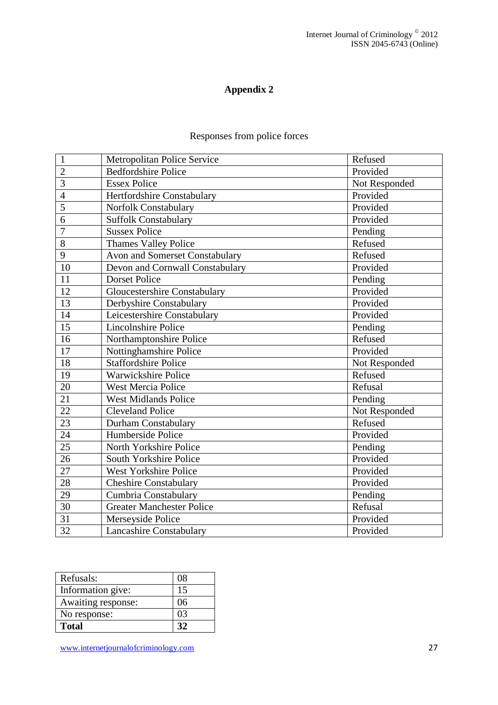# Responses from police forces

<span id="page-26-0"></span>

| $\mathbf{1}$    | <b>Metropolitan Police Service</b>    | Refused       |
|-----------------|---------------------------------------|---------------|
| $\overline{2}$  | <b>Bedfordshire Police</b>            | Provided      |
| 3               | <b>Essex Police</b>                   | Not Responded |
| $\overline{4}$  | Hertfordshire Constabulary            | Provided      |
| 5               | Norfolk Constabulary                  | Provided      |
| 6               | <b>Suffolk Constabulary</b>           | Provided      |
| $\overline{7}$  | <b>Sussex Police</b>                  | Pending       |
| 8               | <b>Thames Valley Police</b>           | Refused       |
| 9               | <b>Avon and Somerset Constabulary</b> | Refused       |
| 10              | Devon and Cornwall Constabulary       | Provided      |
| 11              | <b>Dorset Police</b>                  | Pending       |
| 12              | <b>Gloucestershire Constabulary</b>   | Provided      |
| 13              | Derbyshire Constabulary               | Provided      |
| 14              | Leicestershire Constabulary           | Provided      |
| 15              | Lincolnshire Police                   | Pending       |
| 16              | Northamptonshire Police               | Refused       |
| 17              | Nottinghamshire Police                | Provided      |
| 18              | <b>Staffordshire Police</b>           | Not Responded |
| 19              | <b>Warwickshire Police</b>            | Refused       |
| 20              | <b>West Mercia Police</b>             | Refusal       |
| 21              | <b>West Midlands Police</b>           | Pending       |
| 22              | <b>Cleveland Police</b>               | Not Responded |
| 23              | Durham Constabulary                   | Refused       |
| 24              | Humberside Police                     | Provided      |
| 25              | North Yorkshire Police                | Pending       |
| $\overline{26}$ | South Yorkshire Police                | Provided      |
| 27              | <b>West Yorkshire Police</b>          | Provided      |
| 28              | <b>Cheshire Constabulary</b>          | Provided      |
| 29              | Cumbria Constabulary                  | Pending       |
| 30              | <b>Greater Manchester Police</b>      | Refusal       |
| 31              | Merseyside Police                     | Provided      |
| 32              | Lancashire Constabulary               | Provided      |

| Refusals:          | 08 |
|--------------------|----|
| Information give:  | 15 |
| Awaiting response: | 06 |
| No response:       | 03 |
| <b>Total</b>       | 32 |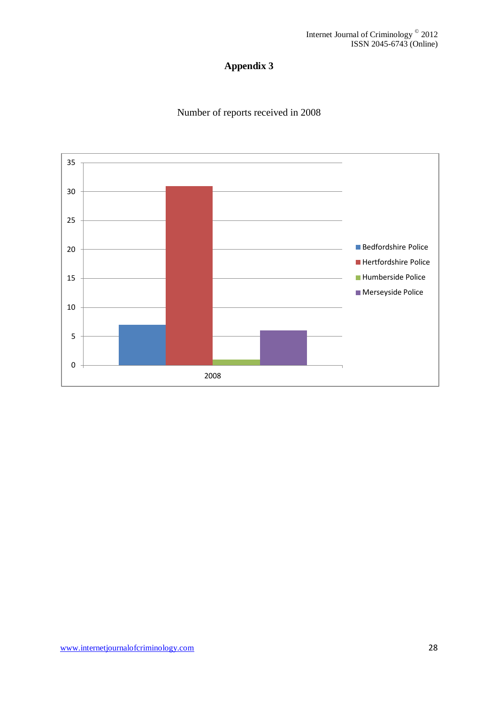# Number of reports received in 2008

<span id="page-27-0"></span>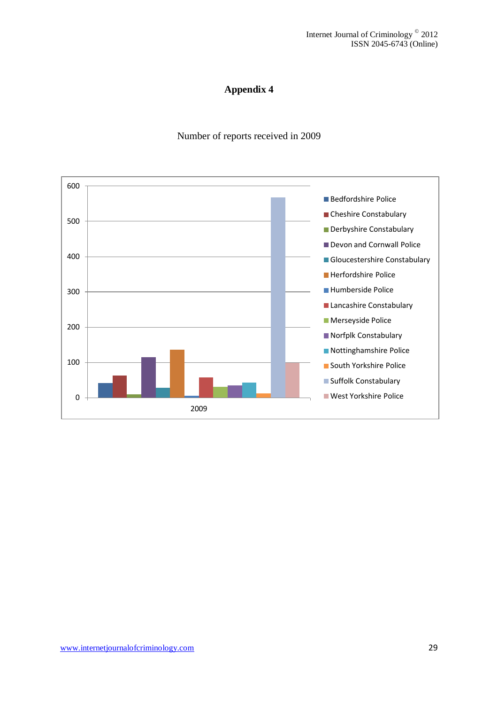### Number of reports received in 2009

<span id="page-28-0"></span>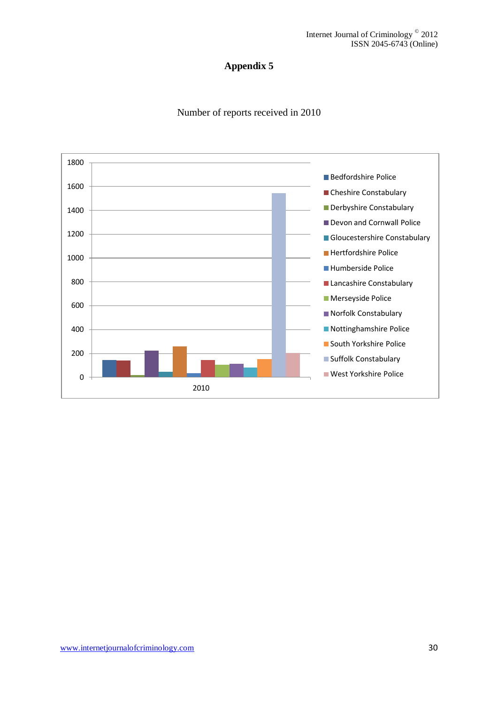

<span id="page-29-0"></span>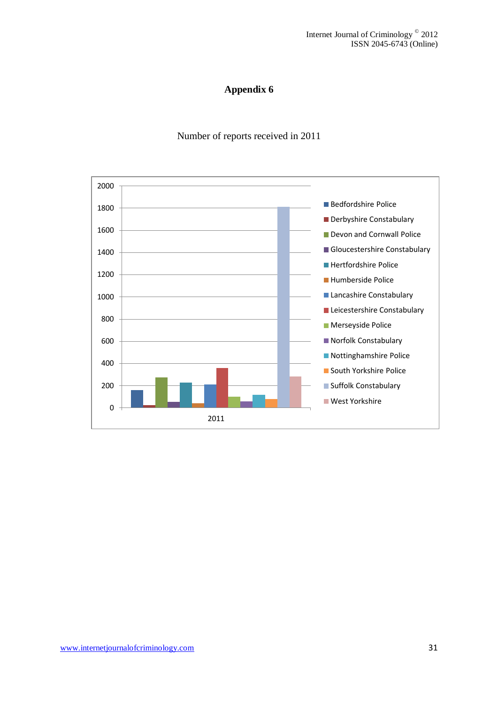Number of reports received in 2011

<span id="page-30-0"></span>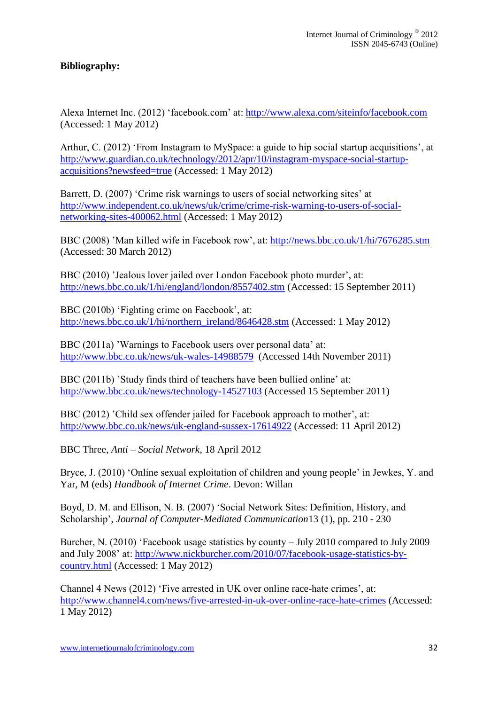### <span id="page-31-0"></span>**Bibliography:**

Alexa Internet Inc. (2012) 'facebook.com' at:<http://www.alexa.com/siteinfo/facebook.com> (Accessed: 1 May 2012)

Arthur, C. (2012) 'From Instagram to MySpace: a guide to hip social startup acquisitions', at [http://www.guardian.co.uk/technology/2012/apr/10/instagram-myspace-social-startup](http://www.guardian.co.uk/technology/2012/apr/10/instagram-myspace-social-startup-acquisitions?newsfeed=true)[acquisitions?newsfeed=true](http://www.guardian.co.uk/technology/2012/apr/10/instagram-myspace-social-startup-acquisitions?newsfeed=true) (Accessed: 1 May 2012)

Barrett, D. (2007) 'Crime risk warnings to users of social networking sites' at [http://www.independent.co.uk/news/uk/crime/crime-risk-warning-to-users-of-social](http://www.independent.co.uk/news/uk/crime/crime-risk-warning-to-users-of-social-networking-sites-400062.html)[networking-sites-400062.html](http://www.independent.co.uk/news/uk/crime/crime-risk-warning-to-users-of-social-networking-sites-400062.html) (Accessed: 1 May 2012)

BBC (2008) 'Man killed wife in Facebook row', at:<http://news.bbc.co.uk/1/hi/7676285.stm> (Accessed: 30 March 2012)

BBC (2010) 'Jealous lover jailed over London Facebook photo murder', at: <http://news.bbc.co.uk/1/hi/england/london/8557402.stm> (Accessed: 15 September 2011)

BBC (2010b) 'Fighting crime on Facebook', at: [http://news.bbc.co.uk/1/hi/northern\\_ireland/8646428.stm](http://news.bbc.co.uk/1/hi/northern_ireland/8646428.stm) (Accessed: 1 May 2012)

BBC (2011a) 'Warnings to Facebook users over personal data' at: <http://www.bbc.co.uk/news/uk-wales-14988579>(Accessed 14th November 2011)

BBC (2011b) 'Study finds third of teachers have been bullied online' at: <http://www.bbc.co.uk/news/technology-14527103> (Accessed 15 September 2011)

BBC (2012) 'Child sex offender jailed for Facebook approach to mother', at: <http://www.bbc.co.uk/news/uk-england-sussex-17614922> (Accessed: 11 April 2012)

BBC Three, *Anti – Social Network*, 18 April 2012

Bryce, J. (2010) 'Online sexual exploitation of children and young people' in Jewkes, Y. and Yar, M (eds) *Handbook of Internet Crime*. Devon: Willan

Boyd, D. M. and Ellison, N. B. (2007) 'Social Network Sites: Definition, History, and Scholarship'*, Journal of Computer-Mediated Communication*13 (1), pp. 210 - 230

Burcher, N. (2010) 'Facebook usage statistics by county – July 2010 compared to July 2009 and July 2008' at: [http://www.nickburcher.com/2010/07/facebook-usage-statistics-by](http://www.nickburcher.com/2010/07/facebook-usage-statistics-by-country.html)[country.html](http://www.nickburcher.com/2010/07/facebook-usage-statistics-by-country.html) (Accessed: 1 May 2012)

Channel 4 News (2012) 'Five arrested in UK over online race-hate crimes', at: <http://www.channel4.com/news/five-arrested-in-uk-over-online-race-hate-crimes> (Accessed: 1 May 2012)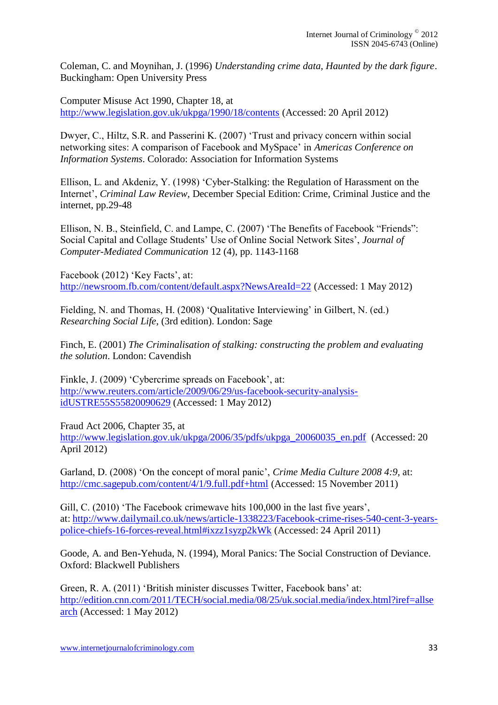Coleman, C. and Moynihan, J. (1996) *Understanding crime data, Haunted by the dark figure*. Buckingham: Open University Press

Computer Misuse Act 1990, Chapter 18, at <http://www.legislation.gov.uk/ukpga/1990/18/contents> (Accessed: 20 April 2012)

Dwyer, C., Hiltz, S.R. and Passerini K. (2007) 'Trust and privacy concern within social networking sites: A comparison of Facebook and MySpace' in *Americas Conference on Information Systems*. Colorado: Association for Information Systems

Ellison, L. and Akdeniz, Y. (1998) 'Cyber-Stalking: the Regulation of Harassment on the Internet', *Criminal Law Review,* December Special Edition: Crime, Criminal Justice and the internet, pp.29-48

Ellison, N. B., Steinfield, C. and Lampe, C. (2007) 'The Benefits of Facebook "Friends": Social Capital and Collage Students' Use of Online Social Network Sites', *Journal of Computer-Mediated Communication* 12 (4), pp. 1143-1168

Facebook (2012) 'Key Facts', at: <http://newsroom.fb.com/content/default.aspx?NewsAreaId=22> (Accessed: 1 May 2012)

Fielding, N. and Thomas, H. (2008) 'Qualitative Interviewing' in Gilbert, N. (ed.) *Researching Social Life*, (3rd edition). London: Sage

Finch, E. (2001) *The Criminalisation of stalking: constructing the problem and evaluating the solution*. London: Cavendish

Finkle, J. (2009) 'Cybercrime spreads on Facebook', at: [http://www.reuters.com/article/2009/06/29/us-facebook-security-analysis](http://www.reuters.com/article/2009/06/29/us-facebook-security-analysis-idUSTRE55S55820090629)[idUSTRE55S55820090629](http://www.reuters.com/article/2009/06/29/us-facebook-security-analysis-idUSTRE55S55820090629) (Accessed: 1 May 2012)

Fraud Act 2006, Chapter 35, at [http://www.legislation.gov.uk/ukpga/2006/35/pdfs/ukpga\\_20060035\\_en.pdf](http://www.legislation.gov.uk/ukpga/2006/35/pdfs/ukpga_20060035_en.pdf) (Accessed: 20 April 2012)

Garland, D. (2008) 'On the concept of moral panic', *Crime Media Culture 2008 4:9,* at: <http://cmc.sagepub.com/content/4/1/9.full.pdf+html> (Accessed: 15 November 2011)

Gill, C. (2010) 'The Facebook crimewave hits 100,000 in the last five years', at: [http://www.dailymail.co.uk/news/article-1338223/Facebook-crime-rises-540-cent-3-years](http://www.dailymail.co.uk/news/article-1338223/Facebook-crime-rises-540-cent-3-years-police-chiefs-16-forces-reveal.html#ixzz1syzp2kWk)[police-chiefs-16-forces-reveal.html#ixzz1syzp2kWk](http://www.dailymail.co.uk/news/article-1338223/Facebook-crime-rises-540-cent-3-years-police-chiefs-16-forces-reveal.html#ixzz1syzp2kWk) (Accessed: 24 April 2011)

Goode, A. and Ben-Yehuda, N. (1994), Moral Panics: The Social Construction of Deviance. Oxford: Blackwell Publishers

Green, R. A. (2011) 'British minister discusses Twitter, Facebook bans' at: [http://edition.cnn.com/2011/TECH/social.media/08/25/uk.social.media/index.html?iref=allse](http://edition.cnn.com/2011/TECH/social.media/08/25/uk.social.media/index.html?iref=allsearch) [arch](http://edition.cnn.com/2011/TECH/social.media/08/25/uk.social.media/index.html?iref=allsearch) (Accessed: 1 May 2012)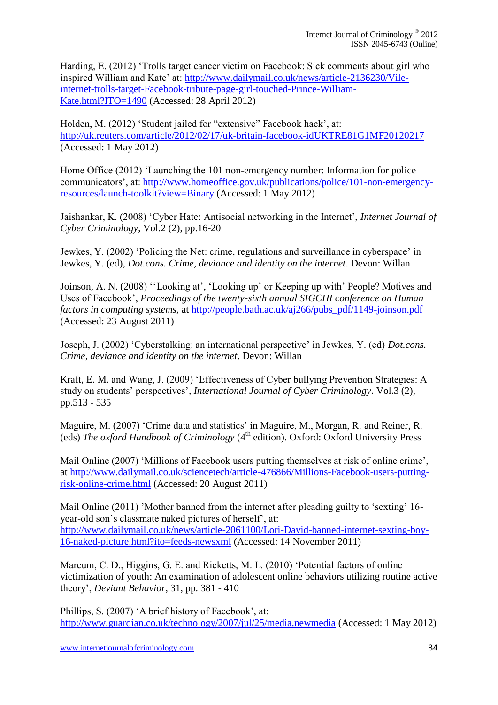Harding, E. (2012) 'Trolls target cancer victim on Facebook: Sick comments about girl who inspired William and Kate' at: [http://www.dailymail.co.uk/news/article-2136230/Vile](http://www.dailymail.co.uk/news/article-2136230/Vile-internet-trolls-target-Facebook-tribute-page-girl-touched-Prince-William-Kate.html?ITO=1490)[internet-trolls-target-Facebook-tribute-page-girl-touched-Prince-William-](http://www.dailymail.co.uk/news/article-2136230/Vile-internet-trolls-target-Facebook-tribute-page-girl-touched-Prince-William-Kate.html?ITO=1490)[Kate.html?ITO=1490](http://www.dailymail.co.uk/news/article-2136230/Vile-internet-trolls-target-Facebook-tribute-page-girl-touched-Prince-William-Kate.html?ITO=1490) (Accessed: 28 April 2012)

Holden, M. (2012) 'Student jailed for "extensive" Facebook hack', at: <http://uk.reuters.com/article/2012/02/17/uk-britain-facebook-idUKTRE81G1MF20120217> (Accessed: 1 May 2012)

Home Office (2012) 'Launching the 101 non-emergency number: Information for police communicators', at: [http://www.homeoffice.gov.uk/publications/police/101-non-emergency](http://www.homeoffice.gov.uk/publications/police/101-non-emergency-resources/launch-toolkit?view=Binary)[resources/launch-toolkit?view=Binary](http://www.homeoffice.gov.uk/publications/police/101-non-emergency-resources/launch-toolkit?view=Binary) (Accessed: 1 May 2012)

Jaishankar, K. (2008) 'Cyber Hate: Antisocial networking in the Internet', *Internet Journal of Cyber Criminology*, Vol.2 (2), pp.16-20

Jewkes, Y. (2002) 'Policing the Net: crime, regulations and surveillance in cyberspace' in Jewkes, Y. (ed), *Dot.cons. Crime, deviance and identity on the internet*. Devon: Willan

Joinson, A. N. (2008) ''Looking at', 'Looking up' or Keeping up with' People? Motives and Uses of Facebook', *Proceedings of the twenty-sixth annual SIGCHI conference on Human factors in computing systems*, at [http://people.bath.ac.uk/aj266/pubs\\_pdf/1149-joinson.pdf](http://people.bath.ac.uk/aj266/pubs_pdf/1149-joinson.pdf)  (Accessed: 23 August 2011)

Joseph, J. (2002) 'Cyberstalking: an international perspective' in Jewkes, Y. (ed) *Dot.cons. Crime, deviance and identity on the internet*. Devon: Willan

Kraft, E. M. and Wang, J. (2009) 'Effectiveness of Cyber bullying Prevention Strategies: A study on students' perspectives'*, International Journal of Cyber Criminology*. Vol.3 (2), pp.513 - 535

Maguire, M. (2007) 'Crime data and statistics' in Maguire, M., Morgan, R. and Reiner, R. (eds) *The oxford Handbook of Criminology* (4<sup>th</sup> edition). Oxford: Oxford University Press

Mail Online (2007) 'Millions of Facebook users putting themselves at risk of online crime', at [http://www.dailymail.co.uk/sciencetech/article-476866/Millions-Facebook-users-putting](http://www.dailymail.co.uk/sciencetech/article-476866/Millions-Facebook-users-putting-risk-online-crime.html)[risk-online-crime.html](http://www.dailymail.co.uk/sciencetech/article-476866/Millions-Facebook-users-putting-risk-online-crime.html) (Accessed: 20 August 2011)

Mail Online (2011) 'Mother banned from the internet after pleading guilty to 'sexting' 16 year-old son's classmate naked pictures of herself', at: [http://www.dailymail.co.uk/news/article-2061100/Lori-David-banned-internet-sexting-boy-](http://www.dailymail.co.uk/news/article-2061100/Lori-David-banned-internet-sexting-boy-16-naked-picture.html?ito=feeds-newsxml)[16-naked-picture.html?ito=feeds-newsxml](http://www.dailymail.co.uk/news/article-2061100/Lori-David-banned-internet-sexting-boy-16-naked-picture.html?ito=feeds-newsxml) (Accessed: 14 November 2011)

Marcum, C. D., Higgins, G. E. and Ricketts, M. L. (2010) 'Potential factors of online victimization of youth: An examination of adolescent online behaviors utilizing routine active theory', *Deviant Behavior*, 31, pp. 381 - 410

Phillips, S. (2007) 'A brief history of Facebook', at: <http://www.guardian.co.uk/technology/2007/jul/25/media.newmedia> (Accessed: 1 May 2012)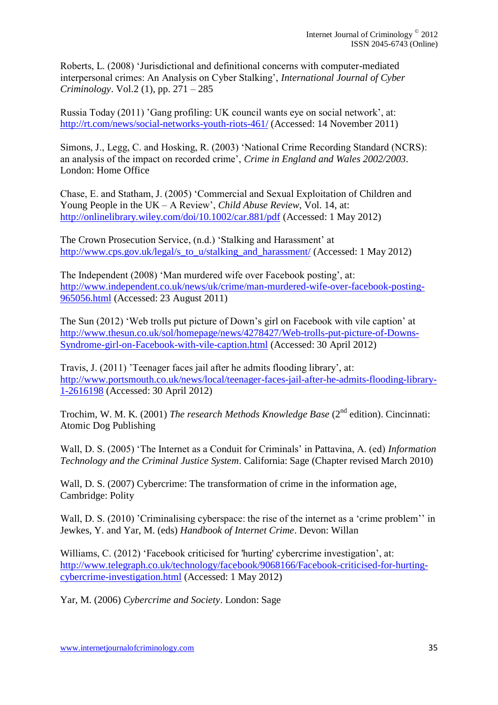Roberts, L. (2008) 'Jurisdictional and definitional concerns with computer-mediated interpersonal crimes: An Analysis on Cyber Stalking', *International Journal of Cyber Criminology*. Vol.2 (1), pp. 271 – 285

Russia Today (2011) 'Gang profiling: UK council wants eye on social network', at: <http://rt.com/news/social-networks-youth-riots-461/> (Accessed: 14 November 2011)

Simons, J., Legg, C. and Hosking, R. (2003) 'National Crime Recording Standard (NCRS): an analysis of the impact on recorded crime', *Crime in England and Wales 2002/2003*. London: Home Office

Chase, E. and Statham, J. (2005) 'Commercial and Sexual Exploitation of Children and Young People in the UK – A Review', *Child Abuse Review*, Vol. 14, at: <http://onlinelibrary.wiley.com/doi/10.1002/car.881/pdf> (Accessed: 1 May 2012)

The Crown Prosecution Service, (n.d.) 'Stalking and Harassment' at [http://www.cps.gov.uk/legal/s\\_to\\_u/stalking\\_and\\_harassment/](http://www.cps.gov.uk/legal/s_to_u/stalking_and_harassment/) (Accessed: 1 May 2012)

The Independent (2008) 'Man murdered wife over Facebook posting', at: [http://www.independent.co.uk/news/uk/crime/man-murdered-wife-over-facebook-posting-](http://www.independent.co.uk/news/uk/crime/man-murdered-wife-over-facebook-posting-965056.html)[965056.html](http://www.independent.co.uk/news/uk/crime/man-murdered-wife-over-facebook-posting-965056.html) (Accessed: 23 August 2011)

The Sun (2012) 'Web trolls put picture of Down's girl on Facebook with vile caption' at [http://www.thesun.co.uk/sol/homepage/news/4278427/Web-trolls-put-picture-of-Downs-](http://www.thesun.co.uk/sol/homepage/news/4278427/Web-trolls-put-picture-of-Downs-Syndrome-girl-on-Facebook-with-vile-caption.html)[Syndrome-girl-on-Facebook-with-vile-caption.html](http://www.thesun.co.uk/sol/homepage/news/4278427/Web-trolls-put-picture-of-Downs-Syndrome-girl-on-Facebook-with-vile-caption.html) (Accessed: 30 April 2012)

Travis, J. (2011) 'Teenager faces jail after he admits flooding library', at: [http://www.portsmouth.co.uk/news/local/teenager-faces-jail-after-he-admits-flooding-library-](http://www.portsmouth.co.uk/news/local/teenager-faces-jail-after-he-admits-flooding-library-1-2616198)[1-2616198](http://www.portsmouth.co.uk/news/local/teenager-faces-jail-after-he-admits-flooding-library-1-2616198) (Accessed: 30 April 2012)

Trochim, W. M. K. (2001) *The research Methods Knowledge Base* (2nd edition). Cincinnati: Atomic Dog Publishing

Wall, D. S. (2005) 'The Internet as a Conduit for Criminals' in Pattavina, A. (ed) *Information Technology and the Criminal Justice System*. California: Sage (Chapter revised March 2010)

Wall, D. S. (2007) Cybercrime: The transformation of crime in the information age, Cambridge: Polity

Wall, D. S. (2010) 'Criminalising cyberspace: the rise of the internet as a 'crime problem'' in Jewkes, Y. and Yar, M. (eds) *Handbook of Internet Crime*. Devon: Willan

Williams, C. (2012) 'Facebook criticised for 'hurting' cybercrime investigation', at: [http://www.telegraph.co.uk/technology/facebook/9068166/Facebook-criticised-for-hurting](http://www.telegraph.co.uk/technology/facebook/9068166/Facebook-criticised-for-hurting-cybercrime-investigation.html)[cybercrime-investigation.html](http://www.telegraph.co.uk/technology/facebook/9068166/Facebook-criticised-for-hurting-cybercrime-investigation.html) (Accessed: 1 May 2012)

Yar, M. (2006) *Cybercrime and Society*. London: Sage